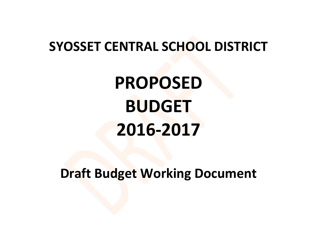# **SYOSSET CENTRAL SCHOOL DISTRICT**

# **PROPOSED BUDGET 2016-2017**

**Draft Budget Working Document**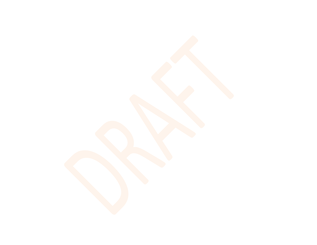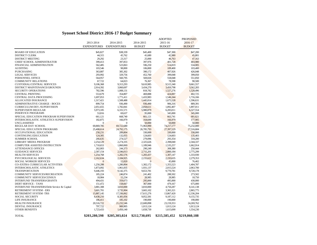#### **Syosset School District 2016-17 Budget Summary**

|                                            |                     |                     |                | <b>ADOPTED</b> | <b>PROPOSED</b> |
|--------------------------------------------|---------------------|---------------------|----------------|----------------|-----------------|
|                                            | 2013-2014           | 2014-2015           | 2014-2015      | 2015-16        | 2016-17         |
|                                            | <b>EXPENDITURES</b> | <b>EXPENDITURES</b> | <b>BUDGET</b>  | <b>BUDGET</b>  | <b>BUDGET</b>   |
| <b>BOARD OF EDUCATION</b>                  | \$45,827            | \$38,339            | \$45,400       | \$47,300       | \$47,200        |
| <b>DISTRICT CLERK</b>                      | 44.315              | 45.762              | 41,680         | 42,980         | 45,801          |
| <b>DISTRICT MEETING</b>                    | 29,292              | 23,317              | 25,000         | 46,763         | 47,163          |
| CHIEF SCHOOL ADMINISTRATOR                 | 399,413             | 397,853             | 397.976        | 401,728        | 403,980         |
| FINANCIAL ADMINISTRATION                   | 562,485             | 523,063             | 596,250        | 514,819        | 534,005         |
| <b>AUDITING</b>                            | 103,546             | 98,800              | 106,800        | 109,400        | 103,400         |
| <b>PURCHASING</b>                          | 363,887             | 385,302             | 390,172        | 407,926        | 426,048         |
| <b>LEGAL SERVICES</b>                      | 293,992             | 329,756             | 452,760        | 399,048        | 399,050         |
| PERSONNEL OFFICE                           | 564,957             | 560,795             | 569,026        | 558,048        | 551,850         |
| <b>COMMUNITY RELATIONS</b>                 | 67,722              | 64,023              | 76,367         | 78,598         | 90,500          |
| <b>CUSTODIAL/CENTRAL SERVICES</b>          | 9.106.368           | 9,313,293           | 9,610,985      | 9,515,340      | 9.661.557       |
| DISTRICT MAINTENANCE/GROUNDS               | 2,914,392           | 3,060,697           | 3,434,270      | 3,450,798      | 3,562,283       |
| <b>SECURITY OPERATIONS</b>                 | 782,596             | 1,008,131           | 818,782        | 1,527,276      | 1,528,496       |
| <b>CENTRAL PRINTING</b>                    | 553,679             | 354,807             | 469,888        | 424,007        | 402,725         |
| CENTRAL DATA PROCESSING                    | 1,697,053           | 1,771,411           | 1,433,983      | 1,546,344      | 1,716,166       |
| <b>ALLOCATED INSURANCE</b>                 | 1,317,421           | 1,508,488           | 1,445,814      | 1,675,528      | 1.596.631       |
| <b>ADMINISTRATIVE CHARGE - BOCES</b>       | 899,754             | 936,490             | 936,490        | 906,316        | 889,391         |
| CURRICULUM DEV./SUPERVISION                | 2,051,655           | 1,782,841           | 2,058,611      | 1,892,407      | 1,897,011       |
| SUPERVISION REGULAR                        | 5,973,185           | 6,331,571           | 5,980,879      | 6,283,011      | 6,327,554       |
| <b>INSERVICE PROGRAMS</b>                  | 53,816              | 69,637              | 95,000         | 345,000        | 345,000         |
| SPECIAL EDUCATION PROGRAM SUPERVISION      | 661,121             | 668,740             | 661,121        | 663,741        | 681,621         |
| INTERSCHOLASTIC ATHLETICS SUPERVISION      | 182,875             | 166,979             | 164,690        | 166,979        | 177,905         |
| <b>UNCLASSIFIED</b>                        | 0                   | $\mathbf{0}$        | 50,000         | 50,000         | 50,000          |
| REGULAR DAY SCHOOL                         | 69,869,785          | 69,722,680          | 71,963,990     | 74,217,177     | 75,232,000      |
| SPECIAL EDUCATION PROGRAMS                 | 25,408,614          | 24,792,175          | 26,785,793     | 27,397,529     | 27.516.684      |
| OCCUPATIONAL EDUCATION                     | 258,231             | 289,804             | 330,000        | 330,000        | 330,000         |
| <b>CONTINUING EDUCATION</b>                | 124,305             | 132,055             | 124,603        | 124,603        | 135,403         |
| <b>SUMMER SCHOOL</b>                       | 266,635             | 274,527             | 279,096        | 293,354        | 318,200         |
| LIBRARY MEDIA PROGRAM                      | 2,254,129           | 2,274,335           | 2,325,626      | 2,398,040      | 2,344,337       |
| COMPUTER ASSISTED INSTRUCTION              | 1.710.653           | 1,860,069           | 1,189,946      | 1,535,257      | 1,662,914       |
| <b>ATTENDANCE OFFICES</b>                  | 262,003             | 244,373             | 290,249        | 308,380        | 250,444         |
| <b>GUIDANCE SERVICES</b>                   | 2,587,154           | 2,596,013           | 2,715,201      | 2,800,184      | 2,775,299       |
| <b>HEALTH SERVICES</b>                     | 1,254,768           | 1,282,576           | 1,283,437      | 1,307,147      | 1,333,930       |
| PSYCHOLOGICAL SERVICES                     | 2,162,634           | 2,184,925           | 2,155,622      | 2,193,635      | 2,279,353       |
| <b>SOCIAL WORKER SERVICES</b>              | $\Omega$            | 12,820              | $\overline{0}$ | 45,000         | 76,402          |
| CO-/EXTRA CURRICULAR ACTIVITIES            | 1,250,288           | 1,280,804           | 1,302,172      | 1,355,523      | 1,404,787       |
| <b>INTERSCHOLASTIC ATHLETICS</b>           | 1,873,092           | 1,961,835           | 1,931,137      | 2,015,524      | 2,063,700       |
| <b>TRANSPORTATION</b>                      | 9,446,193           | 9,142,375           | 9,653,781      | 9,770,781      | 9,728,178       |
| COMMUNITY SERVICES/RECREATION              | 185,224             | 246,874             | 241,402        | 288,502        | 273,502         |
| <b>COMMUNITY SERVICES/CENSUS</b>           | 18,984              | 15,234              | 28.985         | 28,985         | 18,750          |
| <b>INTERFUND TRANSFERS/GRANTS</b>          | 494,431             | 359,073             | 295,000        | 495,000        | 430,000         |
| <b>DEBT SERVICE - TANS</b>                 | 151,472             | 158,667             | 367,000        | 479,167        | 675,000         |
| INTERFUND TRANSFERS/Debt Service & Capital | 3,881,308           | 3,810,000           | 3,810,000      | 4,750,287      | 8,141,138       |
| RETIREMENT SYSTEM - ERS                    | 3,601,701           | 3,735,904           | 3,665,102      | 3,365,321      | 2,865,775       |
| RETIREMENT SYSTEM -TRS                     | 15,887,145          | 17,336,062          | 17,615,276     | 13,867,420     | 12,336,204      |
| <b>SOCIAL SECURITY</b>                     |                     |                     |                |                |                 |
| <b>LIFE INSURANCE</b>                      | 8,438,210           | 8,381,056           | 9,052,581      | 9,187,112      | 9,155,735       |
|                                            | 186,411             | 185,102             | 190,000        | 190,000        | 190,000         |
| HEALTH INSURANCE                           | 20,516,722          | 21,232,546          | 22,600,898     | 23,159,353     | 24,269,762      |
| DENTAL INSURANCE                           | 797,722             | 900,905             | 1,013,124      | 1,013,124      | 1,013,124       |
| <b>OTHER BENEFITS</b>                      | 1,723,433           | 1,450,140           | 1,658,730      | 1,615,690      | 1,554,230       |
| <b>TOTAL</b>                               | \$203,280,598       | \$205,303,024       | \$212,730,695  | \$215,585,452  | \$219,860,188   |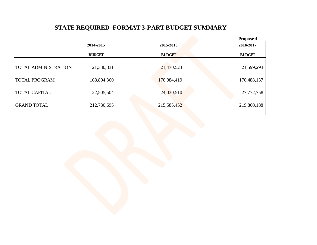# **STATE REQUIRED FORMAT 3-PART BUDGET SUMMARY**

|                      | 2014-2015     | 2015-2016     | Proposed<br>2016-2017 |
|----------------------|---------------|---------------|-----------------------|
|                      | <b>BUDGET</b> | <b>BUDGET</b> | <b>BUDGET</b>         |
| TOTAL ADMINISTRATION | 21,330,831    | 21,470,523    | 21,599,293            |
| <b>TOTAL PROGRAM</b> | 168,894,360   | 170,084,419   | 170,488,137           |
| <b>TOTAL CAPITAL</b> | 22,505,504    | 24,030,510    | 27,772,758            |
| <b>GRAND TOTAL</b>   | 212,730,695   | 215,585,452   | 219,860,188           |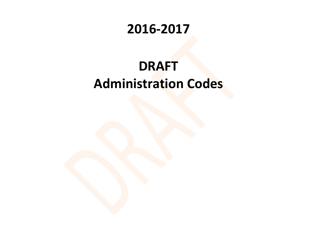# **2016-2017**

# **DRAFT Administration Codes**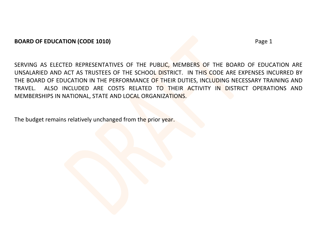#### **BOARD OF EDUCATION (CODE 1010)** Page 1

SERVING AS ELECTED REPRESENTATIVES OF THE PUBLIC, MEMBERS OF THE BOARD OF EDUCATION ARE UNSALARIED AND ACT AS TRUSTEES OF THE SCHOOL DISTRICT. IN THIS CODE ARE EXPENSES INCURRED BY THE BOARD OF EDUCATION IN THE PERFORMANCE OF THEIR DUTIES, INCLUDING NECESSARY TRAINING AND TRAVEL. ALSO INCLUDED ARE COSTS RELATED TO THEIR ACTIVITY IN DISTRICT OPERATIONS AND MEMBERSHIPS IN NATIONAL, STATE AND LOCAL ORGANIZATIONS.

The budget remains relatively unchanged from the prior year.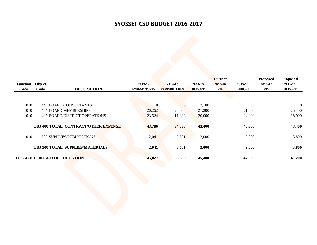| <b>Function</b><br>Code | Object<br><b>DESCRIPTION</b><br>Code        | 2013-14<br><b>EXPENDITURES</b> | 2014-15             | 2014-15       | <b>Current</b><br>2015-16 | 2015-16        | Proposed<br>2016-17 | Proposed<br>2016-17 |
|-------------------------|---------------------------------------------|--------------------------------|---------------------|---------------|---------------------------|----------------|---------------------|---------------------|
|                         |                                             |                                | <b>EXPENDITURES</b> | <b>BUDGET</b> | <b>FTE</b>                | <b>BUDGET</b>  | <b>FTE</b>          | <b>BUDGET</b>       |
|                         |                                             |                                |                     |               |                           |                |                     |                     |
| 1010                    | <b>449 BOARD CONSULTANTS</b>                | $\theta$                       | $\overline{0}$      | 2,100         |                           | $\overline{0}$ |                     | $\theta$            |
| 1010                    | <b>484 BOARD MEMBERSHIPS</b>                | 20,262                         | 23,005              | 21,300        |                           | 21,300         |                     | 25,400              |
| 1010                    | <b>485 BOARD/DISTRICT OPERATIONS</b>        | 23,524                         | 11,833              | 20,000        |                           | 24,000         |                     | 18,000              |
|                         |                                             |                                |                     |               |                           |                |                     |                     |
|                         | <b>OBJ 400 TOTAL CONTRACT/OTHER EXPENSE</b> | 43,786                         | 34,838              | 43,400        |                           | 45,300         |                     | 43,400              |
| 1010                    | <b>500 SUPPLIES/PUBLICATIONS</b>            | 2,041                          | 3,501               | 2,000         |                           | 2,000          |                     | 3,800               |
|                         | <b>OBJ 500 TOTAL SUPPLIES/MATERIALS</b>     | 2,041                          | 3,501               | 2,000         |                           | 2,000          |                     | 3,800               |
|                         | <b>TOTAL 1010 BOARD OF EDUCATION</b>        | 45,827                         | 38,339              | 45,400        |                           | 47,300         |                     | 47,200              |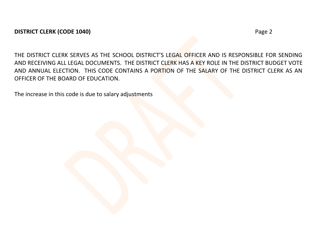**DISTRICT CLERK (CODE 1040)** Page 2

THE DISTRICT CLERK SERVES AS THE SCHOOL DISTRICT'S LEGAL OFFICER AND IS RESPONSIBLE FOR SENDING AND RECEIVING ALL LEGAL DOCUMENTS. THE DISTRICT CLERK HAS A KEY ROLE IN THE DISTRICT BUDGET VOTE AND ANNUAL ELECTION. THIS CODE CONTAINS A PORTION OF THE SALARY OF THE DISTRICT CLERK AS AN OFFICER OF THE BOARD OF EDUCATION.

The increase in this code is due to salary adjustments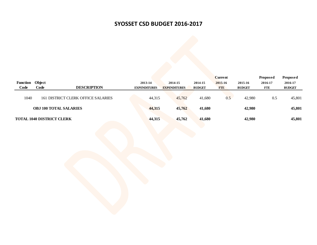| <b>Function</b><br>Code | Object<br>Code | <b>DESCRIPTION</b>                 | 2013-14<br><b>EXPENDITURES</b> | 2014-15<br><b>EXPENDITURES</b> | 2014-15<br><b>BUDGET</b> | <b>Current</b><br>2015-16<br><b>FTE</b> | 2015-16<br><b>BUDGET</b> | <b>Proposed</b><br>2016-17<br>FTE | Proposed<br>2016-17<br><b>BUDGET</b> |
|-------------------------|----------------|------------------------------------|--------------------------------|--------------------------------|--------------------------|-----------------------------------------|--------------------------|-----------------------------------|--------------------------------------|
| 1040                    |                | 161 DISTRICT CLERK OFFICE SALARIES | 44,315                         | 45,762                         | 41,680                   | 0.5                                     | 42,980                   | 0.5                               | 45,801                               |
|                         |                | <b>OBJ 100 TOTAL SALARIES</b>      | 44,315                         | 45,762                         | 41,680                   |                                         | 42,980                   |                                   | 45,801                               |
|                         |                | <b>TOTAL 1040 DISTRICT CLERK</b>   | 44,315                         | 45,762                         | 41,680                   |                                         | 42,980                   |                                   | 45,801                               |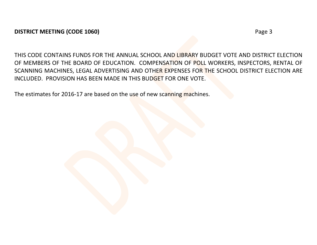#### **DISTRICT MEETING (CODE 1060)** Page 3

THIS CODE CONTAINS FUNDS FOR THE ANNUAL SCHOOL AND LIBRARY BUDGET VOTE AND DISTRICT ELECTION OF MEMBERS OF THE BOARD OF EDUCATION. COMPENSATION OF POLL WORKERS, INSPECTORS, RENTAL OF SCANNING MACHINES, LEGAL ADVERTISING AND OTHER EXPENSES FOR THE SCHOOL DISTRICT ELECTION ARE INCLUDED. PROVISION HAS BEEN MADE IN THIS BUDGET FOR ONE VOTE.

The estimates for 2016-17 are based on the use of new scanning machines.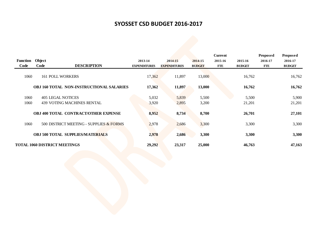|          |        |                                             |                     |                     |               | <b>Current</b> |               | <b>Proposed</b> | Proposed      |
|----------|--------|---------------------------------------------|---------------------|---------------------|---------------|----------------|---------------|-----------------|---------------|
| Function | Object |                                             | 2013-14             | 2014-15             | 2014-15       | 2015-16        | 2015-16       | 2016-17         | 2016-17       |
| Code     | Code   | <b>DESCRIPTION</b>                          | <b>EXPENDITURES</b> | <b>EXPENDITURES</b> | <b>BUDGET</b> | FTE            | <b>BUDGET</b> | FTE             | <b>BUDGET</b> |
|          |        |                                             |                     |                     |               |                |               |                 |               |
| 1060     |        | 161 POLL WORKERS                            | 17,362              | 11,897              | 13,000        |                | 16,762        |                 | 16,762        |
|          |        | OBJ 160 TOTAL NON-INSTRUCTIONAL SALARIES    | 17,362              | 11,897              | 13,000        |                | 16,762        |                 | 16,762        |
|          |        |                                             |                     |                     |               |                |               |                 |               |
| 1060     |        | <b>405 LEGAL NOTICES</b>                    | 5,032               | 5,839               | 5,500         |                | 5,500         |                 | 5,900         |
| 1060     |        | <b>439 VOTING MACHINES RENTAL</b>           | 3,920               | 2,895               | 3,200         |                | 21,201        |                 | 21,201        |
|          |        |                                             |                     |                     |               |                |               |                 |               |
|          |        | <b>OBJ 400 TOTAL CONTRACT/OTHER EXPENSE</b> | 8,952               | 8,734               | 8,700         |                | 26,701        |                 | 27,101        |
| 1060     |        | 500 DISTRICT MEETING - SUPPLIES & FORMS     | 2,978               | 2,686               | 3,300         |                | 3,300         |                 | 3,300         |
|          |        |                                             |                     |                     |               |                |               |                 |               |
|          |        | <b>OBJ 500 TOTAL SUPPLIES/MATERIALS</b>     | 2,978               | 2,686               | 3,300         |                | 3,300         |                 | 3,300         |
|          |        | <b>TOTAL 1060 DISTRICT MEETINGS</b>         |                     |                     |               |                |               |                 |               |
|          |        |                                             | 29,292              | 23,317              | 25,000        |                | 46,763        |                 | 47,163        |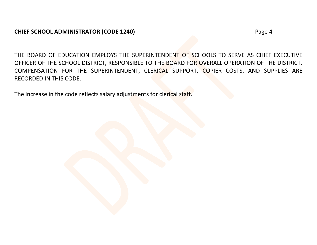THE BOARD OF EDUCATION EMPLOYS THE SUPERINTENDENT OF SCHOOLS TO SERVE AS CHIEF EXECUTIVE OFFICER OF THE SCHOOL DISTRICT, RESPONSIBLE TO THE BOARD FOR OVERALL OPERATION OF THE DISTRICT. COMPENSATION FOR THE SUPERINTENDENT, CLERICAL SUPPORT, COPIER COSTS, AND SUPPLIES ARE RECORDED IN THIS CODE.

The increase in the code reflects salary adjustments for clerical staff.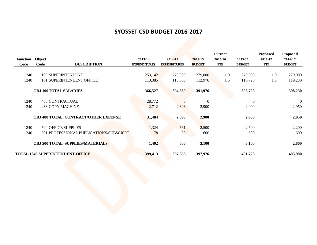|                 |        |                                             |                     |                     |                  | Current |               | <b>Proposed</b> | Proposed         |
|-----------------|--------|---------------------------------------------|---------------------|---------------------|------------------|---------|---------------|-----------------|------------------|
| <b>Function</b> | Object |                                             | 2013-14             | 2014-15             | 2014-15          | 2015-16 | 2015-16       | 2016-17         | 2016-17          |
| Code            | Code   | <b>DESCRIPTION</b>                          | <b>EXPENDITURES</b> | <b>EXPENDITURES</b> | <b>BUDGET</b>    | FTE     | <b>BUDGET</b> | FTE             | <b>BUDGET</b>    |
|                 |        |                                             |                     |                     |                  |         |               |                 |                  |
| 1240            |        | <b>100 SUPERINTENDENT</b>                   | 253,142             | 279,000             | 279,000          | 1.0     | 279,000       | 1.0             | 279,000          |
| 1240            |        | <b>161 SUPERINTENDENT OFFICE</b>            | 113,385             | 115,360             | 112,976          | 1.5     | 116,728       | 1.5             | 119,230          |
|                 |        |                                             |                     |                     |                  |         |               |                 |                  |
|                 |        | <b>OBJ 100 TOTAL SALARIES</b>               | 366,527             | 394,360             | 391,976          |         | 395,728       |                 | 398,230          |
|                 |        |                                             |                     |                     |                  |         |               |                 |                  |
| 1240            |        | <b>400 CONTRACTUAL</b>                      | 28,772              | $\boldsymbol{0}$    | $\boldsymbol{0}$ |         | $\theta$      |                 | $\boldsymbol{0}$ |
| 1240            |        | 433 COPY MACHINE                            | 2,712               | 2,893               | 2,900            |         | 2,900         |                 | 2,950            |
|                 |        |                                             |                     |                     |                  |         |               |                 |                  |
|                 |        | <b>OBJ 400 TOTAL CONTRACT/OTHER EXPENSE</b> | 31,484              | 2,893               | 2,900            |         | 2,900         |                 | 2,950            |
|                 |        |                                             |                     |                     |                  |         |               |                 |                  |
| 1240            |        | <b>500 OFFICE SUPPLIES</b>                  | 1,324               | 561                 | 2,500            |         | 2,500         |                 | 2,200            |
| 1240            |        | 501 PROFESSIONAL PUBLICATIONS/SUBSCRIPT     | 78                  | 39                  | 600              |         | 600           |                 | 600              |
|                 |        |                                             |                     |                     |                  |         |               |                 |                  |
|                 |        | <b>OBJ 500 TOTAL SUPPLIES/MATERIALS</b>     | 1,402               | 600                 | 3,100            |         | 3,100         |                 | 2,800            |
|                 |        |                                             |                     |                     |                  |         |               |                 |                  |
|                 |        | <b>TOTAL 1240 SUPERINTENDENT OFFICE</b>     | 399,413             | 397,853             | 397,976          |         | 401,728       |                 | 403,980          |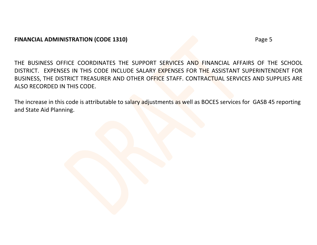#### **FINANCIAL ADMINISTRATION (CODE 1310)** Page 5

THE BUSINESS OFFICE COORDINATES THE SUPPORT SERVICES AND FINANCIAL AFFAIRS OF THE SCHOOL DISTRICT. EXPENSES IN THIS CODE INCLUDE SALARY EXPENSES FOR THE ASSISTANT SUPERINTENDENT FOR BUSINESS, THE DISTRICT TREASURER AND OTHER OFFICE STAFF. CONTRACTUAL SERVICES AND SUPPLIES ARE ALSO RECORDED IN THIS CODE.

The increase in this code is attributable to salary adjustments as well as BOCES services for GASB 45 reporting and State Aid Planning.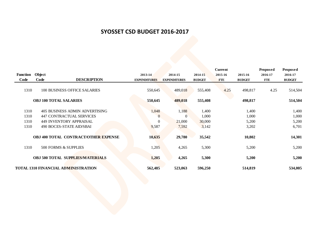|                 |        |                                             |                     |                     |               | <b>Current</b> |               | Proposed   | Proposed      |
|-----------------|--------|---------------------------------------------|---------------------|---------------------|---------------|----------------|---------------|------------|---------------|
| <b>Function</b> | Object |                                             | 2013-14             | 2014-15             | 2014-15       | 2015-16        | 2015-16       | 2016-17    | 2016-17       |
| Code            | Code   | <b>DESCRIPTION</b>                          | <b>EXPENDITURES</b> | <b>EXPENDITURES</b> | <b>BUDGET</b> | <b>FTE</b>     | <b>BUDGET</b> | <b>FTE</b> | <b>BUDGET</b> |
|                 |        |                                             |                     |                     |               |                |               |            |               |
| 1310            |        | <b>100 BUSINESS OFFICE SALARIES</b>         | 550,645             | 489,018             | 555,408       | 4.25           | 498,817       | 4.25       | 514,504       |
|                 |        | <b>OBJ 100 TOTAL SALARIES</b>               | 550,645             | 489,018             | 555,408       |                | 498,817       |            | 514,504       |
|                 |        |                                             |                     |                     |               |                |               |            |               |
| 1310            |        | 405 BUSINESS ADMIN ADVERTISING              | 1,048               | 1,188               | 1,400         |                | 1,400         |            | 1,400         |
| 1310            |        | <b>447 CONTRACTUAL SERVICES</b>             | $\overline{0}$      | $\overline{0}$      | 1,000         |                | 1,000         |            | 1,000         |
| 1310            |        | <b>449 INVENTORY APPRAISAL</b>              | $\Omega$            | 21,000              | 30,000        |                | 5,200         |            | 5,200         |
| 1310            |        | 490 BOCES-STATE AID/SBAI                    | 9,587               | 7,592               | 3,142         |                | 3,202         |            | 6,701         |
|                 |        | <b>OBJ 400 TOTAL CONTRACT/OTHER EXPENSE</b> | 10,635              | 29,780              | 35,542        |                | 10,802        |            | 14,301        |
|                 |        |                                             |                     |                     |               |                |               |            |               |
| 1310            |        | 500 FORMS & SUPPLIES                        | 1,205               | 4,265               | 5,300         |                | 5,200         |            | 5,200         |
|                 |        |                                             |                     |                     |               |                |               |            |               |
|                 |        | <b>OBJ 500 TOTAL SUPPLIES/MATERIALS</b>     | 1,205               | 4,265               | 5,300         |                | 5,200         |            | 5,200         |
|                 |        | TOTAL 1310 FINANCIAL ADMINISTRATION         | 562,485             | 523,063             | 596,250       |                | 514,819       |            | 534,005       |
|                 |        |                                             |                     |                     |               |                |               |            |               |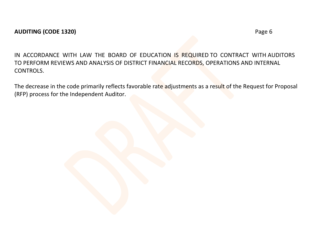IN ACCORDANCE WITH LAW THE BOARD OF EDUCATION IS REQUIRED TO CONTRACT WITH AUDITORS TO PERFORM REVIEWS AND ANALYSIS OF DISTRICT FINANCIAL RECORDS, OPERATIONS AND INTERNAL CONTROLS.

The decrease in the code primarily reflects favorable rate adjustments as a result of the Request for Proposal (RFP) process for the Independent Auditor.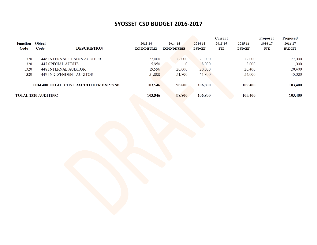|          |                     |                                             |                     |                     |               | Current |               | Proposed | Proposed      |
|----------|---------------------|---------------------------------------------|---------------------|---------------------|---------------|---------|---------------|----------|---------------|
| Function | Object              |                                             | 2013-14             | 2014-15             | 2014-15       | 2015-16 | 2015-16       | 2016-17  | 2016-17       |
| Code     | Code                | <b>DESCRIPTION</b>                          | <b>EXPENDITURES</b> | <b>EXPENDITURES</b> | <b>BUDGET</b> | FTE     | <b>BUDGET</b> | FTE      | <b>BUDGET</b> |
|          |                     |                                             |                     |                     |               |         |               |          |               |
| 1320     |                     | 446 INTERNAL CLAIMS AUDITOR                 | 27,000              | 27,000              | 27,000        |         | 27,000        |          | 27,000        |
| 1320     |                     | 447 SPECIAL AUDITS                          | 5,950               | $\sigma$            | 8,000         |         | 8,000         |          | 11,000        |
| 1320     |                     | 448 INTERNAL AUDITOR                        | 19.596              | 20,000              | 20,000        |         | 20,400        |          | 20,400        |
| 1320     |                     | 449 INDEPENDENT AUDITOR                     | 51,000              | 51,800              | 51,800        |         | 54,000        |          | 45,000        |
|          |                     | <b>OBJ 400 TOTAL CONTRACT/OTHER EXPENSE</b> | 103,546             | 98,800              | 106,800       |         | 109,400       |          | 103,400       |
|          | TOTAL 1320 AUDITING |                                             | 103,546             | 98,800              | 106.800       |         | 109,400       |          | 103,400       |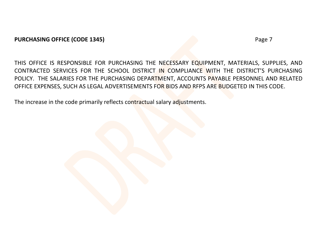#### **PURCHASING OFFICE (CODE 1345)** Page 7

THIS OFFICE IS RESPONSIBLE FOR PURCHASING THE NECESSARY EQUIPMENT, MATERIALS, SUPPLIES, AND CONTRACTED SERVICES FOR THE SCHOOL DISTRICT IN COMPLIANCE WITH THE DISTRICT'S PURCHASING POLICY. THE SALARIES FOR THE PURCHASING DEPARTMENT, ACCOUNTS PAYABLE PERSONNEL AND RELATED OFFICE EXPENSES, SUCH AS LEGAL ADVERTISEMENTS FOR BIDS AND RFPS ARE BUDGETED IN THIS CODE.

The increase in the code primarily reflects contractual salary adjustments.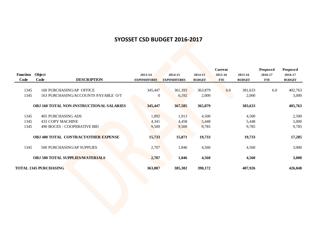|                 |                              |                                                 |                     |                     |               | <b>Current</b> |               | Proposed   | Proposed      |
|-----------------|------------------------------|-------------------------------------------------|---------------------|---------------------|---------------|----------------|---------------|------------|---------------|
| <b>Function</b> | Object                       |                                                 | 2013-14             | 2014-15             | $2014 - 15$   | 2015-16        | 2015-16       | 2016-17    | 2016-17       |
| Code            | Code                         | <b>DESCRIPTION</b>                              | <b>EXPENDITURES</b> | <b>EXPENDITURES</b> | <b>BUDGET</b> | <b>FTE</b>     | <b>BUDGET</b> | <b>FTE</b> | <b>BUDGET</b> |
|                 |                              |                                                 |                     |                     |               |                |               |            |               |
| 1345            |                              | 160 PURCHASING/AP OFFICE                        | 345,447             | 361,393             | 363,879       | 6.0            | 381,633       | 6.0        | 402,763       |
| 1345            |                              | 163 PURCHASING/ACCOUNTS PAYABLE O/T             | 0                   | 6,192               | 2,000         |                | 2,000         |            | 3,000         |
|                 |                              |                                                 |                     |                     |               |                |               |            |               |
|                 |                              | <b>OBJ 160 TOTAL NON-INSTRUCTIONAL SALARIES</b> | 345,447             | 367,585             | 365,879       |                | 383,633       |            | 405,763       |
|                 |                              |                                                 |                     |                     |               |                |               |            |               |
| 1345            |                              | <b>405 PURCHASING ADS</b>                       | 1,892               | 1,913               | 4,500         |                | 4,500         |            | 2,500         |
| 1345            |                              | <b>433 COPY MACHINE</b>                         | 4,341               | 4,458               | 5,448         |                | 5,448         |            | 5,000         |
| 1345            |                              | 490 BOCES - COOPERATIVE BID                     | 9,500               | 9,500               | 9,785         |                | 9,785         |            | 9,785         |
|                 |                              |                                                 |                     |                     |               |                |               |            |               |
|                 |                              | <b>OBJ 400 TOTAL CONTRACT/OTHER EXPENSE</b>     | 15,733              | 15,871              | 19,733        |                | 19,733        |            | 17,285        |
|                 |                              |                                                 |                     |                     |               |                |               |            |               |
| 1345            |                              | 500 PURCHASING/AP SUPPLIES                      | 2,707               | 1,846               | 4,560         |                | 4,560         |            | 3,000         |
|                 |                              |                                                 |                     |                     |               |                |               |            |               |
|                 |                              | <b>OBJ 500 TOTAL SUPPLIES/MATERIALS</b>         | 2,707               | 1,846               | 4,560         |                | 4,560         |            | 3,000         |
|                 |                              |                                                 |                     |                     |               |                |               |            |               |
|                 | <b>TOTAL 1345 PURCHASING</b> |                                                 | 363,887             | 385,302             | 390,172       |                | 407,926       |            | 426,048       |
|                 |                              |                                                 |                     |                     |               |                |               |            |               |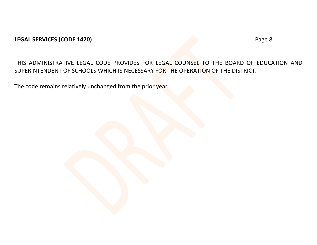THIS ADMINISTRATIVE LEGAL CODE PROVIDES FOR LEGAL COUNSEL TO THE BOARD OF EDUCATION AND SUPERINTENDENT OF SCHOOLS WHICH IS NECESSARY FOR THE OPERATION OF THE DISTRICT.

The code remains relatively unchanged from the prior year.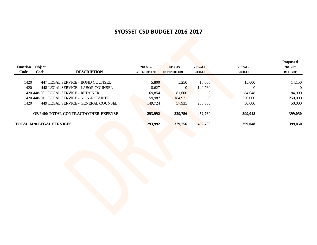|                           |                                             |                     |                     |               |               | Proposed      |
|---------------------------|---------------------------------------------|---------------------|---------------------|---------------|---------------|---------------|
| Object<br><b>Function</b> |                                             | 2013-14             | 2014-15             | 2014-15       | 2015-16       | 2016-17       |
| Code<br>Code              | <b>DESCRIPTION</b>                          | <b>EXPENDITURES</b> | <b>EXPENDITURES</b> | <b>BUDGET</b> | <b>BUDGET</b> | <b>BUDGET</b> |
|                           |                                             |                     |                     |               |               |               |
| 1420                      | 447 LEGAL SERVICE - BOND COUNSEL            | 5,800               | 5,250               | 18,000        | 15,000        | 14,150        |
| 1420                      | 448 LEGAL SERVICE - LABOR COUNSEL           | 8.627               | $\mathbf{0}$        | 149.760       | $\Omega$      | $\Omega$      |
| 1420 448-00               | LEGAL SERVICE - RETAINER                    | 69.854              | 81,600              | $\Omega$      | 84,048        | 84,900        |
| 1420 448-01               | LEGAL SERVICE - NON-RETAINER                | 59.987              | 184.971             |               | 250,000       | 250,000       |
| 1420                      | 449 LEGAL SERVICE - GENERAL COUNSEL         | 149.724             | 57,935              | 285,000       | 50,000        | 50,000        |
|                           |                                             |                     |                     |               |               |               |
|                           | <b>OBJ 400 TOTAL CONTRACT/OTHER EXPENSE</b> | 293,992             | 329,756             | 452,760       | 399,048       | 399,050       |
|                           |                                             |                     |                     |               |               |               |
|                           | <b>TOTAL 1420 LEGAL SERVICES</b>            | 293,992             | 329,756             | 452,760       | 399,048       | 399,050       |
|                           |                                             |                     |                     |               |               |               |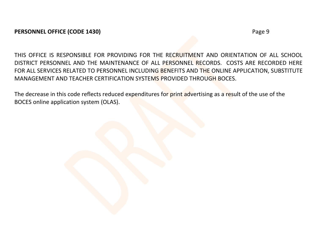#### **PERSONNEL OFFICE (CODE 1430)** Page 9

THIS OFFICE IS RESPONSIBLE FOR PROVIDING FOR THE RECRUITMENT AND ORIENTATION OF ALL SCHOOL DISTRICT PERSONNEL AND THE MAINTENANCE OF ALL PERSONNEL RECORDS. COSTS ARE RECORDED HERE FOR ALL SERVICES RELATED TO PERSONNEL INCLUDING BENEFITS AND THE ONLINE APPLICATION, SUBSTITUTE MANAGEMENT AND TEACHER CERTIFICATION SYSTEMS PROVIDED THROUGH BOCES.

The decrease in this code reflects reduced expenditures for print advertising as a result of the use of the BOCES online application system (OLAS).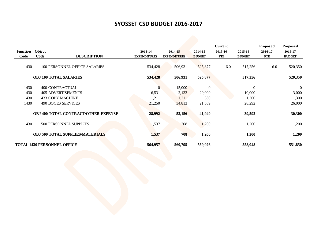|                 |        |                                             |                     |                     |                | <b>Current</b> |               | Proposed   | Proposed       |
|-----------------|--------|---------------------------------------------|---------------------|---------------------|----------------|----------------|---------------|------------|----------------|
| <b>Function</b> | Object |                                             | 2013-14             | 2014-15             | 2014-15        | 2015-16        | 2015-16       | 2016-17    | 2016-17        |
| Code            | Code   | <b>DESCRIPTION</b>                          | <b>EXPENDITURES</b> | <b>EXPENDITURES</b> | <b>BUDGET</b>  | <b>FTE</b>     | <b>BUDGET</b> | <b>FTE</b> | <b>BUDGET</b>  |
|                 |        |                                             |                     |                     |                |                |               |            |                |
| 1430            |        | <b>100 PERSONNEL OFFICE SALARIES</b>        | 534,428             | 506,931             | 525,877        | 6.0            | 517,256       | 6.0        | 520,350        |
|                 |        |                                             |                     |                     |                |                |               |            |                |
|                 |        | <b>OBJ 100 TOTAL SALARIES</b>               | 534,428             | 506,931             | 525,877        |                | 517,256       |            | 520,350        |
|                 |        |                                             |                     |                     |                |                |               |            |                |
| 1430            |        | <b>400 CONTRACTUAL</b>                      | $\Omega$            | 15,000              | $\overline{0}$ |                | $\theta$      |            | $\overline{0}$ |
| 1430            |        | <b>405 ADVERTISEMENTS</b>                   | 6,531               | 2,132               | 20,000         |                | 10,000        |            | 3,000          |
| 1430            |        | 433 COPY MACHINE                            | 1,211               | 1,211               | 360            |                | 1,300         |            | 1,300          |
| 1430            |        | <b>490 BOCES SERVICES</b>                   | 21,250              | 34,813              | 21,589         |                | 28,292        |            | 26,000         |
|                 |        |                                             |                     |                     |                |                |               |            |                |
|                 |        | <b>OBJ 400 TOTAL CONTRACT/OTHER EXPENSE</b> | 28,992              | 53,156              | 41,949         |                | 39,592        |            | 30,300         |
|                 |        |                                             |                     |                     |                |                |               |            |                |
| 1430            |        | 500 PERSONNEL SUPPLIES                      | 1,537               | 708                 | 1,200          |                | 1,200         |            | 1,200          |
|                 |        |                                             |                     |                     |                |                |               |            |                |
|                 |        | <b>OBJ 500 TOTAL SUPPLIES/MATERIALS</b>     | 1,537               | 708                 | 1,200          |                | 1,200         |            | 1,200          |
|                 |        |                                             |                     |                     |                |                |               |            |                |
|                 |        | <b>TOTAL 1430 PERSONNEL OFFICE</b>          | 564,957             | 560,795             | 569,026        |                | 558,048       |            | 551,850        |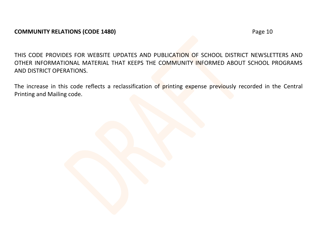**COMMUNITY RELATIONS (CODE 1480) Page 10** 

THIS CODE PROVIDES FOR WEBSITE UPDATES AND PUBLICATION OF SCHOOL DISTRICT NEWSLETTERS AND OTHER INFORMATIONAL MATERIAL THAT KEEPS THE COMMUNITY INFORMED ABOUT SCHOOL PROGRAMS AND DISTRICT OPERATIONS.

The increase in this code reflects a reclassification of printing expense previously recorded in the Central Printing and Mailing code.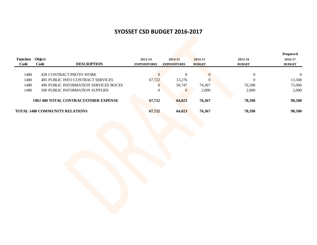|                 |               |                                             |                     |                     |                |               | <b>Proposed</b> |
|-----------------|---------------|---------------------------------------------|---------------------|---------------------|----------------|---------------|-----------------|
| <b>Function</b> | <b>Object</b> |                                             | 2013-14             | 2014-15             | 2014-15        | 2015-16       | 2016-17         |
| Code            | Code          | <b>DESCRIPTION</b>                          | <b>EXPENDITURES</b> | <b>EXPENDITURES</b> | <b>BUDGET</b>  | <b>BUDGET</b> | <b>BUDGET</b>   |
|                 |               |                                             |                     |                     |                |               |                 |
| 1480            |               | 428 CONTRACT PHOTO WORK                     |                     | $\theta$            | $\overline{0}$ | $\theta$      | $\theta$        |
| 1480            |               | 485 PUBLIC INFO CONTRACT SERVICES           | 67,722              | 13.276              | 0              | $\theta$      | 13,500          |
| 1480            |               | 490 PUBLIC INFORMATION SERVICES BOCES       | $\Omega$            | 50,747              | 74,367         | 76,598        | 75,000          |
| 1480            |               | 500 PUBLIC INFORMATION SUPPLIES             |                     | $\theta$            | 2,000          | 2,000         | 2,000           |
|                 |               | <b>OBJ 400 TOTAL CONTRACT/OTHER EXPENSE</b> | 67.722              | 64.023              | 76.367         | 78,598        | 90,500          |
|                 |               | <b>TOTAL 1480 COMMUNITY RELATIONS</b>       | 67,722              | 64,023              | 76,367         | 78,598        | 90,500          |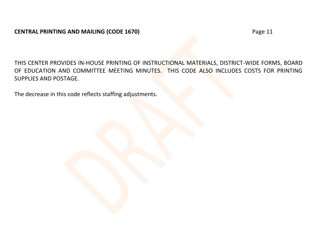**CENTRAL PRINTING AND MAILING (CODE 1670)** Page 11

THIS CENTER PROVIDES IN-HOUSE PRINTING OF INSTRUCTIONAL MATERIALS, DISTRICT-WIDE FORMS, BOARD OF EDUCATION AND COMMITTEE MEETING MINUTES. THIS CODE ALSO INCLUDES COSTS FOR PRINTING SUPPLIES AND POSTAGE.

The decrease in this code reflects staffing adjustments.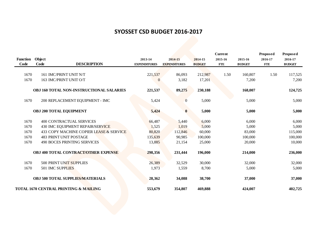|                                                  |        |                                         |                     |                     | <b>Current</b> |            |               | Proposed   | Proposed      |
|--------------------------------------------------|--------|-----------------------------------------|---------------------|---------------------|----------------|------------|---------------|------------|---------------|
| <b>Function</b>                                  | Object |                                         | 2013-14             | 2014-15             | 2014-15        | 2015-16    | 2015-16       | 2016-17    | 2016-17       |
| Code                                             | Code   | <b>DESCRIPTION</b>                      | <b>EXPENDITURES</b> | <b>EXPENDITURES</b> | <b>BUDGET</b>  | <b>FTE</b> | <b>BUDGET</b> | <b>FTE</b> | <b>BUDGET</b> |
|                                                  |        |                                         |                     |                     |                |            |               |            |               |
| 1670                                             |        | 161 IMC/PRINT UNIT N/T                  | 221,537             | 86,093              | 212,987        | 1.50       | 160,807       | 1.50       | 117,525       |
| 1670                                             |        | 163 IMC/PRINT UNIT O/T                  | $\Omega$            | 3,182               | 17,201         |            | 7,200         |            | 7,200         |
| OBJ 160 TOTAL NON-INSTRUCTIONAL SALARIES         |        |                                         | 221,537             | 89,275              | 230,188        |            | 168,007       |            | 124,725       |
| 1670                                             |        | 200 REPLACEMENT EQUIPMENT - IMC         | 5,424               | $\overline{0}$      | 5,000          |            | 5,000         |            | 5,000         |
| <b>OBJ 200 TOTAL EQUIPMENT</b>                   |        | 5,424                                   | $\boldsymbol{0}$    | 5,000               |                | 5,000      |               | 5,000      |               |
| 1670                                             |        | <b>400 CONTRACTUAL SERVICES</b>         | 66,487              | 5,440               | 6,000          |            | 6,000         |            | 6,000         |
| 1670                                             |        | 430 IMC EQUIPMENT REPAIR/SERVICE        | 1,525               | 1,019               | 5,000          |            | 5,000         |            | 5,000         |
| 1670                                             |        | 433 COPY MACHINE COPIER LEASE & SERVICE | 80,820              | 112,846             | 60,000         |            | 83,000        |            | 115,000       |
| 1670                                             |        | <b>483 PRINT UNIT POSTAGE</b>           | 135,639             | 90,985              | 100,000        |            | 100,000       |            | 100,000       |
| 1670                                             |        | <b>490 BOCES PRINTING SERVICES</b>      | 13,885              | 21,154              | 25,000         |            | 20,000        |            | 10,000        |
| <b>OBJ 400 TOTAL CONTRACT/OTHER EXPENSE</b>      |        |                                         | 298,356             | 231,444             | 196,000        |            | 214,000       |            | 236,000       |
| 1670                                             |        | 500 PRINT UNIT SUPPLIES                 | 26,389              | 32,529              | 30,000         |            | 32,000        |            | 32,000        |
| 1670                                             |        | 501 IMC SUPPLIES                        | 1,973               | 1,559               | 8,700          |            | 5,000         |            | 5,000         |
| <b>OBJ 500 TOTAL SUPPLIES/MATERIALS</b>          |        | 28,362                                  | 34,088              | 38,700              |                | 37,000     |               | 37,000     |               |
| <b>TOTAL 1670 CENTRAL PRINTING &amp; MAILING</b> |        |                                         | 553,679             | 354,807             | 469,888        |            | 424,007       |            | 402,725       |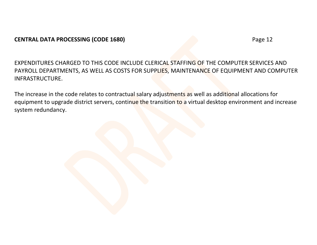### **CENTRAL DATA PROCESSING (CODE 1680)** Page 12

EXPENDITURES CHARGED TO THIS CODE INCLUDE CLERICAL STAFFING OF THE COMPUTER SERVICES AND PAYROLL DEPARTMENTS, AS WELL AS COSTS FOR SUPPLIES, MAINTENANCE OF EQUIPMENT AND COMPUTER INFRASTRUCTURE.

The increase in the code relates to contractual salary adjustments as well as additional allocations for equipment to upgrade district servers, continue the transition to a virtual desktop environment and increase system redundancy.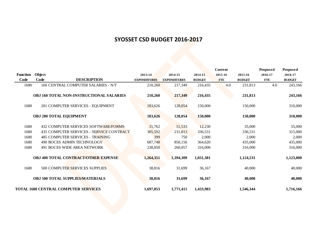|                                             |               |                                             |                     |                     |               | <b>Current</b> |               | Proposed   | Proposed      |
|---------------------------------------------|---------------|---------------------------------------------|---------------------|---------------------|---------------|----------------|---------------|------------|---------------|
| <b>Function</b>                             | <b>Object</b> |                                             | 2013-14             | 2014-15             | 2014-15       | 2015-16        | 2015-16       | 2016-17    | 2016-17       |
| <b>Code</b>                                 | Code          | <b>DESCRIPTION</b>                          | <b>EXPENDITURES</b> | <b>EXPENDITURES</b> | <b>BUDGET</b> | <b>FTE</b>     | <b>BUDGET</b> | <b>FTE</b> | <b>BUDGET</b> |
| 1680                                        |               | 160 CENTRAL COMPUTER SALARIES - N/T         | 210,260             | 217,349             | 216,435       | 4.0            | 231,813       | 4.0        | 243,166       |
|                                             |               | OBJ 160 TOTAL NON-INSTRUCTIONAL SALARIES    | 210,260             | 217,349             | 216,435       |                | 231,813       |            | 243,166       |
| 1680                                        |               | 201 COMPUTER SERVICES - EQUIPMENT           | 183,626             | 128,054             | 150,000       |                | 150,000       |            | 310,000       |
| <b>OBJ 200 TOTAL EQUIPMENT</b>              |               | 183,626                                     | 128,054             | 150,000             |               | 150,000        |               | 310,000    |               |
| 1680                                        |               | <b>432 COMPUTER SERVICES SOFTWARE/FORMS</b> | 31,762              | 51,533              | 12,230        |                | 35,000        |            | 55,000        |
| 1680                                        |               | 435 COMPUTER SERVICES - SERVICE CONTRACT    | 305,592             | 231,813             | 336,531       |                | 336,531       |            | 315,000       |
| 1680                                        |               | <b>485 COMPUTER SERVICES - TRAINING</b>     | 399                 | 750                 | 2,000         |                | 2,000         |            | 2,000         |
| 1680                                        |               | 490 BOCES ADMIN TECHNOLOGY                  | 687,748             | 850,156             | 364,620       |                | 435,000       |            | 435,000       |
| 1680                                        |               | 491 BOCES WIDE AREA NETWORK                 | 238,850             | 260,057             | 316,000       |                | 316,000       |            | 316,000       |
|                                             |               | <b>OBJ 400 TOTAL CONTRACT/OTHER EXPENSE</b> | 1,264,351           | 1,394,309           | 1,031,381     |                | 1,124,531     |            | 1,123,000     |
| 1680                                        |               | <b>500 COMPUTER SERVICES SUPPLIES</b>       | 38,816              | 31,699              | 36,167        |                | 40,000        |            | 40,000        |
|                                             |               | <b>OBJ 500 TOTAL SUPPLIES/MATERIALS</b>     | 38,816              | 31,699              | 36,167        |                | 40,000        |            | 40,000        |
| <b>TOTAL 1680 CENTRAL COMPUTER SERVICES</b> |               |                                             | 1,697,053           | 1,771,411           | 1,433,983     |                | 1,546,344     |            | 1,716,166     |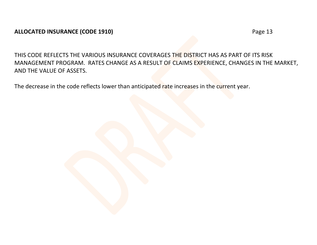## **ALLOCATED INSURANCE (CODE 1910)** Page 13

THIS CODE REFLECTS THE VARIOUS INSURANCE COVERAGES THE DISTRICT HAS AS PART OF ITS RISK MANAGEMENT PROGRAM. RATES CHANGE AS A RESULT OF CLAIMS EXPERIENCE, CHANGES IN THE MARKET, AND THE VALUE OF ASSETS.

The decrease in the code reflects lower than anticipated rate increases in the current year.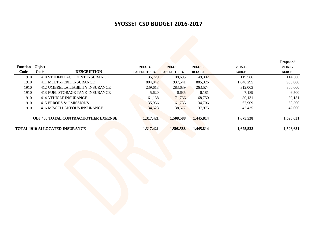|                                       |               |                                             |                     |                     |               |               | Proposed      |
|---------------------------------------|---------------|---------------------------------------------|---------------------|---------------------|---------------|---------------|---------------|
| <b>Function</b>                       | <b>Object</b> |                                             | 2013-14             | 2014-15             | 2014-15       | 2015-16       | 2016-17       |
| Code                                  | Code          | <b>DESCRIPTION</b>                          | <b>EXPENDITURES</b> | <b>EXPENDITURES</b> | <b>BUDGET</b> | <b>BUDGET</b> | <b>BUDGET</b> |
| 1910                                  |               | 410 STUDENT ACCIDENT INSURANCE              | 135,729             | 108.695             | 149,302       | 119,566       | 114,500       |
| 1910                                  |               | <b>411 MULTI-PERIL INSURANCE</b>            | 804,842             | 937,541             | 885,326       | 1,046,295     | 985,000       |
| 1910                                  |               | 412 UMBRELLA LIABILITY INSURANCE            | 239,613             | 283,639             | 263,574       | 312,003       | 300,000       |
| 1910                                  |               | 413 FUEL STORAGE TANK INSURANCE             | 5.620               | 6,635               | 6,181         | 7,189         | 6.500         |
| 1910                                  |               | <b>414 VEHICLE INSURANCE</b>                | 61,138              | 71,766              | 68,750        | 80,131        | 80,131        |
| 1910                                  |               | 415 ERRORS & OMISSIONS                      | 35,956              | 61,735              | 34,706        | 67,909        | 68,500        |
| 1910                                  |               | 416 MISCELLANEOUS INSURANCE                 | 34,523              | 38,577              | 37,975        | 42,435        | 42,000        |
|                                       |               | <b>OBJ 400 TOTAL CONTRACT/OTHER EXPENSE</b> | 1,317,421           | 1,508,588           | 1,445,814     | 1,675,528     | 1,596,631     |
| <b>TOTAL 1910 ALLOCATED INSURANCE</b> |               |                                             | 1,317,421           | 1.508.588           | 1,445,814     | 1,675,528     | 1,596,631     |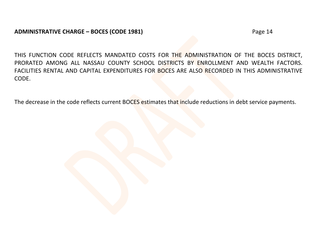THIS FUNCTION CODE REFLECTS MANDATED COSTS FOR THE ADMINISTRATION OF THE BOCES DISTRICT, PRORATED AMONG ALL NASSAU COUNTY SCHOOL DISTRICTS BY ENROLLMENT AND WEALTH FACTORS. FACILITIES RENTAL AND CAPITAL EXPENDITURES FOR BOCES ARE ALSO RECORDED IN THIS ADMINISTRATIVE CODE.

The decrease in the code reflects current BOCES estimates that include reductions in debt service payments.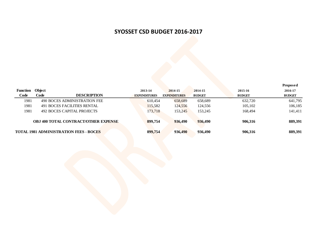|                 |        |                                               |                     |                     |               |               | Proposed      |
|-----------------|--------|-----------------------------------------------|---------------------|---------------------|---------------|---------------|---------------|
| <b>Function</b> | Object |                                               | 2013-14             | 2014-15             | 2014-15       | 2015-16       | 2016-17       |
| Code            | Code   | <b>DESCRIPTION</b>                            | <b>EXPENDITURES</b> | <b>EXPENDITURES</b> | <b>BUDGET</b> | <b>BUDGET</b> | <b>BUDGET</b> |
| 1981            |        | 490 BOCES ADMINISTRATION FEE                  | 610.454             | 658,689             | 658,689       | 632,720       | 641,795       |
| 1981            |        | 491 BOCES FACILITIES RENTAL                   | 115,582             | 124,556             | 124,556       | 105,102       | 106,185       |
| 1981            |        | <b>492 BOCES CAPITAL PROJECTS</b>             | 173.718             | 153,245             | 153,245       | 168,494       | 141,411       |
|                 |        |                                               |                     |                     |               |               |               |
|                 |        | <b>OBJ 400 TOTAL CONTRACT/OTHER EXPENSE</b>   | 899,754             | 936.490             | 936,490       | 906.316       | 889,391       |
|                 |        |                                               |                     |                     |               |               |               |
|                 |        | <b>TOTAL 1981 ADMINISTRATION FEES - BOCES</b> | 899,754             | 936,490             | 936.490       | 906.316       | 889.391       |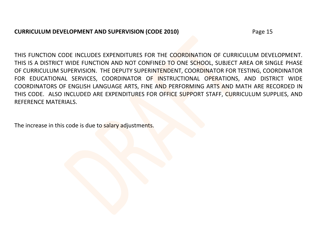#### **CURRICULUM DEVELOPMENT AND SUPERVISION (CODE 2010)** Page 15

THIS FUNCTION CODE INCLUDES EXPENDITURES FOR THE COORDINATION OF CURRICULUM DEVELOPMENT. THIS IS A DISTRICT WIDE FUNCTION AND NOT CONFINED TO ONE SCHOOL, SUBJECT AREA OR SINGLE PHASE OF CURRICULUM SUPERVISION. THE DEPUTY SUPERINTENDENT, COORDINATOR FOR TESTING, COORDINATOR FOR EDUCATIONAL SERVICES, COORDINATOR OF INSTRUCTIONAL OPERATIONS, AND DISTRICT WIDE COORDINATORS OF ENGLISH LANGUAGE ARTS, FINE AND PERFORMING ARTS AND MATH ARE RECORDED IN THIS CODE. ALSO INCLUDED ARE EXPENDITURES FOR OFFICE SUPPORT STAFF, CURRICULUM SUPPLIES, AND REFERENCE MATERIALS.

The increase in this code is due to salary adjustments.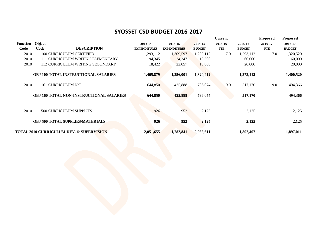|                 |               |                                                     |                     |                     |               | Current    |               | Proposed | Proposed      |
|-----------------|---------------|-----------------------------------------------------|---------------------|---------------------|---------------|------------|---------------|----------|---------------|
| <b>Function</b> | <b>Object</b> |                                                     | 2013-14             | 2014-15             | 2014-15       | 2015-16    | 2015-16       | 2016-17  | 2016-17       |
| Code            | Code          | <b>DESCRIPTION</b>                                  | <b>EXPENDITURES</b> | <b>EXPENDITURES</b> | <b>BUDGET</b> | <b>FTE</b> | <b>BUDGET</b> | FTE      | <b>BUDGET</b> |
| 2010            |               | <b>100 CURRICULUM CERTIFIED</b>                     | 1,293,112           | 1,309,597           | 1,293,112     | 7.0        | 1,293,112     | 7.0      | 1,320,520     |
| 2010            |               | 111 CURRICULUM WRITING ELEMENTARY                   | 94,345              | 24,347              | 13,500        |            | 60,000        |          | 60,000        |
| 2010            |               | 112 CURRICULUM WRITING SECONDARY                    | 18,422              | 22,057              | 13,800        |            | 20,000        |          | 20,000        |
|                 |               |                                                     |                     |                     |               |            |               |          |               |
|                 |               | <b>OBJ 100 TOTAL INSTRUCTIONAL SALARIES</b>         | 1,405,879           | 1,356,001           | 1,320,412     |            | 1,373,112     |          | 1,400,520     |
|                 |               |                                                     |                     |                     |               |            |               |          |               |
| 2010            |               | 161 CURRICULUM N/T                                  | 644,850             | 425,888             | 736,074       | 9.0        | 517,170       | 9.0      | 494,366       |
|                 |               |                                                     |                     |                     |               |            |               |          |               |
|                 |               | <b>OBJ 160 TOTAL NON-INSTRUCTIONAL SALARIES</b>     | 644,850             | 425,888             | 736,074       |            | 517,170       |          | 494,366       |
|                 |               |                                                     |                     |                     |               |            |               |          |               |
|                 |               |                                                     |                     |                     |               |            |               |          |               |
| 2010            |               | <b>500 CURRICULUM SUPPLIES</b>                      | 926                 | 952                 | 2,125         |            | 2,125         |          | 2,125         |
|                 |               |                                                     |                     |                     |               |            |               |          |               |
|                 |               | <b>OBJ 500 TOTAL SUPPLIES/MATERIALS</b>             | 926                 | 952                 | 2,125         |            | 2,125         |          | 2,125         |
|                 |               |                                                     |                     |                     |               |            |               |          |               |
|                 |               | <b>TOTAL 2010 CURRICULUM DEV. &amp; SUPERVISION</b> | 2,051,655           | 1,782,841           | 2,058,611     |            | 1,892,407     |          | 1,897,011     |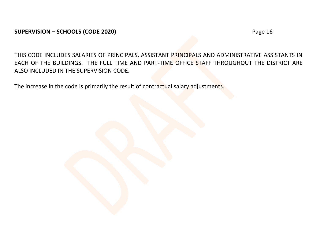**SUPERVISION – SCHOOLS (CODE 2020)** Page 16

THIS CODE INCLUDES SALARIES OF PRINCIPALS, ASSISTANT PRINCIPALS AND ADMINISTRATIVE ASSISTANTS IN EACH OF THE BUILDINGS. THE FULL TIME AND PART-TIME OFFICE STAFF THROUGHOUT THE DISTRICT ARE ALSO INCLUDED IN THE SUPERVISION CODE.

The increase in the code is primarily the result of contractual salary adjustments.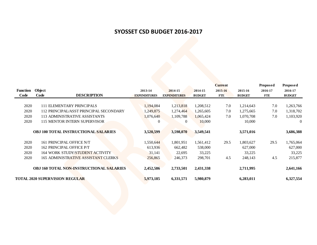|                                       |        |                                                 |                     |                     |               | <b>Current</b> |               | Proposed   | Proposed      |
|---------------------------------------|--------|-------------------------------------------------|---------------------|---------------------|---------------|----------------|---------------|------------|---------------|
| <b>Function</b>                       | Object |                                                 | 2013-14             | 2014-15             | 2014-15       | 2015-16        | 2015-16       | 2016-17    | 2016-17       |
| Code                                  | Code   | <b>DESCRIPTION</b>                              | <b>EXPENDITURES</b> | <b>EXPENDITURES</b> | <b>BUDGET</b> | <b>FTE</b>     | <b>BUDGET</b> | <b>FTE</b> | <b>BUDGET</b> |
|                                       |        |                                                 |                     |                     |               |                |               |            |               |
| 2020                                  |        | <b>111 ELEMENTARY PRINCIPALS</b>                | 1,194,084           | 1,213,818           | 1,208,512     | 7.0            | 1,214,643     | 7.0        | 1,263,766     |
| 2020                                  |        | 112 PRINCIPAL/ASST PRINCIPAL SECONDARY          | 1,249,875           | 1,274,464           | 1,265,605     | 7.0            | 1,275,665     | 7.0        | 1,318,702     |
| 2020                                  |        | <b>113 ADMINISTRATIVE ASSISTANTS</b>            | 1,076,640           | 1,109,788           | 1,065,424     | 7.0            | 1,070,708     | 7.0        | 1,103,920     |
| 2020                                  |        | <b>115 MENTOR INTERN SUPERVISOR</b>             | $\overline{0}$      | $\overline{0}$      | 10,000        |                | 10,000        |            | $\Omega$      |
|                                       |        |                                                 |                     |                     |               |                |               |            |               |
|                                       |        | <b>OBJ 100 TOTAL INSTRUCTIONAL SALARIES</b>     | 3,520,599           | 3,598,070           | 3,549,541     |                | 3,571,016     |            | 3,686,388     |
|                                       |        |                                                 |                     |                     |               |                |               |            |               |
| 2020                                  |        | 161 PRINCIPAL OFFICE N/T                        | 1,550,644           | 1,801,951           | 1,561,412     | 29.5           | 1,803,627     | 29.5       | 1,765,064     |
| 2020                                  |        | 162 PRINCIPAL OFFICE P/T                        | 613,936             | 662,482             | 538,000       |                | 627,000       |            | 627,000       |
| 2020                                  |        | <b>164 WORK STUDY/STUDENT ACTIVITY</b>          | 31,141              | 22,695              | 33,225        |                | 33,225        |            | 33,225        |
| 2020                                  |        | 165 ADMINISTRATIVE ASSISTANT CLERKS             | 256,865             | 246,373             | 298,701       | 4.5            | 248,143       | 4.5        | 215,877       |
|                                       |        |                                                 |                     |                     |               |                |               |            |               |
|                                       |        | <b>OBJ 160 TOTAL NON-INSTRUCTIONAL SALARIES</b> | 2,452,586           | 2,733,501           | 2,431,338     |                | 2,711,995     |            | 2,641,166     |
| <b>TOTAL 2020 SUPERVISION REGULAR</b> |        |                                                 | 5,973,185           | 6,331,571           | 5,980,879     |                | 6,283,011     |            | 6,327,554     |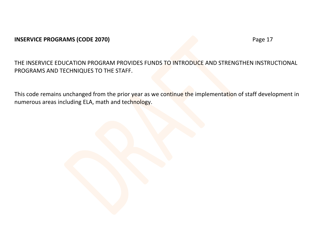**INSERVICE PROGRAMS (CODE 2070)** Page 17

THE INSERVICE EDUCATION PROGRAM PROVIDES FUNDS TO INTRODUCE AND STRENGTHEN INSTRUCTIONAL PROGRAMS AND TECHNIQUES TO THE STAFF.

This code remains unchanged from the prior year as we continue the implementation of staff development in numerous areas including ELA, math and technology.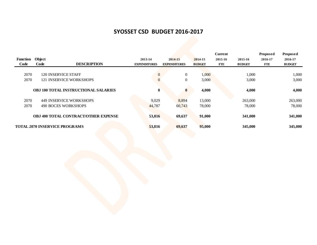|                 |               |                                             |                     |                     |               | <b>Current</b>              | <b>Proposed</b> | Proposed      |
|-----------------|---------------|---------------------------------------------|---------------------|---------------------|---------------|-----------------------------|-----------------|---------------|
| <b>Function</b> | <b>Object</b> |                                             | 2013-14             | 2014-15             | 2014-15       | 2015-16<br>2015-16          | 2016-17         | 2016-17       |
| Code            | Code          | <b>DESCRIPTION</b>                          | <b>EXPENDITURES</b> | <b>EXPENDITURES</b> | <b>BUDGET</b> | <b>FTE</b><br><b>BUDGET</b> | <b>FTE</b>      | <b>BUDGET</b> |
|                 |               |                                             |                     |                     |               |                             |                 |               |
| 2070            |               | <b>120 INSERVICE STAFF</b>                  | $\overline{0}$      | $\mathbf{0}$        | 1,000         | 1,000                       |                 | 1,000         |
| 2070            |               | <b>121 INSERVICE WORKSHOPS</b>              | $\overline{0}$      | $\overline{0}$      | 3,000         | 3,000                       |                 | 3,000         |
|                 |               |                                             |                     |                     |               |                             |                 |               |
|                 |               | <b>OBJ 100 TOTAL INSTRUCTIONAL SALARIES</b> | $\mathbf{0}$        | $\bf{0}$            | 4,000         | 4,000                       |                 | 4,000         |
|                 |               |                                             |                     |                     |               |                             |                 |               |
| 2070            |               | <b>449 INSERVICE WORKSHOPS</b>              | 9,029               | 8,894               | 13,000        | 263,000                     |                 | 263,000       |
| 2070            |               | <b>490 BOCES WORKSHOPS</b>                  | 44,787              | 60,743              | 78,000        | 78,000                      |                 | 78,000        |
|                 |               |                                             |                     |                     |               |                             |                 |               |
|                 |               | <b>OBJ 400 TOTAL CONTRACT/OTHER EXPENSE</b> | 53,816              | 69,637              | 91,000        | 341,000                     |                 | 341,000       |
|                 |               |                                             |                     |                     |               |                             |                 |               |
|                 |               | <b>TOTAL 2070 INSERVICE PROGRAMS</b>        | 53,816              | 69,637              | 95,000        | 345,000                     |                 | 345,000       |
|                 |               |                                             |                     |                     |               |                             |                 |               |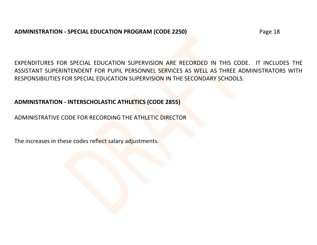**ADMINISTRATION - SPECIAL EDUCATION PROGRAM (CODE 2250)** Page 18

EXPENDITURES FOR SPECIAL EDUCATION SUPERVISION ARE RECORDED IN THIS CODE. IT INCLUDES THE ASSISTANT SUPERINTENDENT FOR PUPIL PERSONNEL SERVICES AS WELL AS THREE ADMINISTRATORS WITH RESPONSIBILITIES FOR SPECIAL EDUCATION SUPERVISION IN THE SECONDARY SCHOOLS.

#### **ADMINISTRATION - INTERSCHOLASTIC ATHLETICS (CODE 2855)**

ADMINISTRATIVE CODE FOR RECORDING THE ATHLETIC DIRECTOR

The increases in these codes reflect salary adjustments.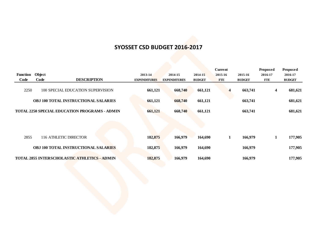|                 |        |                                                      |                     |                     |               | <b>Current</b>          |               | <b>Proposed</b> | Proposed      |
|-----------------|--------|------------------------------------------------------|---------------------|---------------------|---------------|-------------------------|---------------|-----------------|---------------|
| <b>Function</b> | Object |                                                      | 2013-14             | 2014-15             | 2014-15       | 2015-16                 | 2015-16       | 2016-17         | 2016-17       |
| Code            | Code   | <b>DESCRIPTION</b>                                   | <b>EXPENDITURES</b> | <b>EXPENDITURES</b> | <b>BUDGET</b> | <b>FTE</b>              | <b>BUDGET</b> | <b>FTE</b>      | <b>BUDGET</b> |
| 2250            |        | <b>100 SPECIAL EDUCATION SUPERVISION</b>             | 661,121             | 668,740             | 661,121       | $\overline{\mathbf{4}}$ | 663,741       | 4               | 681,621       |
|                 |        | <b>OBJ 100 TOTAL INSTRUCTIONAL SALARIES</b>          | 661,121             | 668,740             | 661,121       |                         | 663,741       |                 | 681,621       |
|                 |        | <b>TOTAL 2250 SPECIAL EDUCATION PROGRAMS - ADMIN</b> | 661,121             | 668,740             | 661,121       |                         | 663,741       |                 | 681,621       |
|                 |        |                                                      |                     |                     |               |                         |               |                 |               |
| 2855            |        | 116 ATHLETIC DIRECTOR                                | 182,875             | 166,979             | 164,690       | 1                       | 166,979       | $\mathbf{1}$    | 177,905       |
|                 |        | <b>OBJ 100 TOTAL INSTRUCTIONAL SALARIES</b>          | 182,875             | 166,979             | 164,690       |                         | 166,979       |                 | 177,905       |
|                 |        | <b>TOTAL 2855 INTERSCHOLASTIC ATHLETICS - ADMIN</b>  | 182,875             | 166,979             | 164,690       |                         | 166,979       |                 | 177,905       |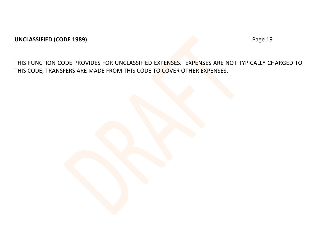THIS FUNCTION CODE PROVIDES FOR UNCLASSIFIED EXPENSES. EXPENSES ARE NOT TYPICALLY CHARGED TO THIS CODE; TRANSFERS ARE MADE FROM THIS CODE TO COVER OTHER EXPENSES.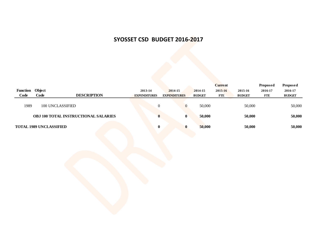|                 |                                |                                             |                     |                     |                |               | <b>Current</b> |               | <b>Proposed</b> | Proposed      |
|-----------------|--------------------------------|---------------------------------------------|---------------------|---------------------|----------------|---------------|----------------|---------------|-----------------|---------------|
| <b>Function</b> | <b>Object</b>                  |                                             | 2013-14             | 2014-15             |                | 2014-15       | $2015 - 16$    | 2015-16       | 2016-17         | 2016-17       |
| Code            | Code                           | <b>DESCRIPTION</b>                          | <b>EXPENDITURES</b> | <b>EXPENDITURES</b> |                | <b>BUDGET</b> | <b>FTE</b>     | <b>BUDGET</b> | <b>FTE</b>      | <b>BUDGET</b> |
|                 |                                |                                             |                     |                     |                |               |                |               |                 |               |
| 1989            |                                | 100 UNCLASSIFIED                            |                     |                     | $\overline{0}$ | 50,000        |                | 50,000        |                 | 50,000        |
|                 |                                |                                             |                     |                     |                |               |                |               |                 |               |
|                 |                                | <b>OBJ 100 TOTAL INSTRUCTIONAL SALARIES</b> | $\mathbf{0}$        |                     | 0              | 50,000        |                | 50,000        |                 | 50,000        |
|                 |                                |                                             |                     |                     |                |               |                |               |                 |               |
|                 | <b>TOTAL 1989 UNCLASSIFIED</b> |                                             | $\mathbf 0$         |                     | $\bf{0}$       | 50,000        |                | 50,000        |                 | 50,000        |
|                 |                                |                                             |                     |                     |                |               |                |               |                 |               |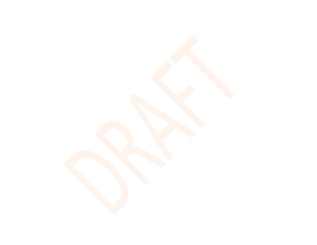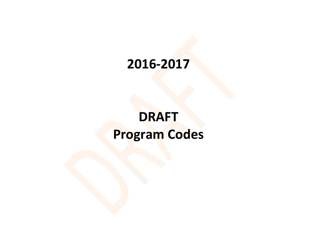## **2016-2017**

# **DRAFT Program Codes**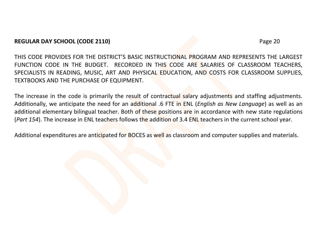#### **REGULAR DAY SCHOOL (CODE 2110)** Page 20

THIS CODE PROVIDES FOR THE DISTRICT'S BASIC INSTRUCTIONAL PROGRAM AND REPRESENTS THE LARGEST FUNCTION CODE IN THE BUDGET. RECORDED IN THIS CODE ARE SALARIES OF CLASSROOM TEACHERS, SPECIALISTS IN READING, MUSIC, ART AND PHYSICAL EDUCATION, AND COSTS FOR CLASSROOM SUPPLIES, TEXTBOOKS AND THE PURCHASE OF EQUIPMENT.

The increase in the code is primarily the result of contractual salary adjustments and staffing adjustments. Additionally, we anticipate the need for an additional .6 FTE in ENL (*English as New Language*) as well as an additional elementary bilingual teacher. Both of these positions are in accordance with new state regulations (*Part 154*). The increase in ENL teachers follows the addition of 3.4 ENL teachers in the current school year.

Additional expenditures are anticipated for BOCES as well as classroom and computer supplies and materials.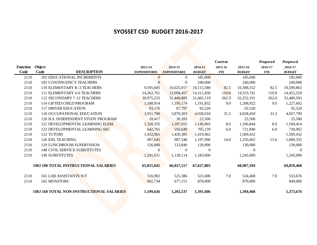|                 |        |                                                 |                     |                     |               | <b>Current</b> |               | Proposed   | Proposed      |
|-----------------|--------|-------------------------------------------------|---------------------|---------------------|---------------|----------------|---------------|------------|---------------|
| <b>Function</b> | Object |                                                 | 2013-14             | 2014-15             | 2014-15       | 2015-16        | 2015-16       | 2016-17    | 2016-17       |
| Code            | Code   | <b>DESCRIPTION</b>                              | <b>EXPENDITURES</b> | <b>EXPENDITURES</b> | <b>BUDGET</b> | <b>FTE</b>     | <b>BUDGET</b> | <b>FTE</b> | <b>BUDGET</b> |
| 2110            |        | 102 EDUCATIONAL INCREMENTS                      | $\overline{0}$      | $\overline{0}$      | 185,000       |                | 185,000       |            | 185,000       |
| 2110            |        | <b>103 CONTINGENCY TEACHERS</b>                 | $\overline{0}$      | $\theta$            | 240,000       |                | 240,000       |            | 240,000       |
| 2110            |        | 110 ELEMENTARY K-3 TEACHERS                     | 9,595,605           | 10,025,917          | 10,115,580    | 82.5           | 10,308,552    | 82.5       | 10,599,863    |
| 2110            |        | 111 ELEMENTARY 4-6 TEACHERS                     | 14,262,761          | 13,908,457          | 14,311,836    | 110.8          | 14,533,741    | 110.8      | 14,452,518    |
| 2110            |        | 112 SECONDARY 7-12 TEACHERS                     | 30,975,233          | 31,440,885          | 31,665,119    | 262.3          | 32,252,191    | 262.0      | 32,489,503    |
| 2110            |        | 114 GIFTED CHILD PROGRAM                        | 1,188,914           | 1,195,174           | 1,191,832     | 9.0            | 1,208,922     | 9.0        | 1,227,602     |
| 2110            |        | <b>117 DRIVER EDUCATION</b>                     | 93,170              | 87,797              | 92,520        |                | 92,520        |            | 92,520        |
| 2110            |        | 118 OCCUPATIONAL EDUCATION                      | 3,951,700           | 3,879,303           | 4,028,918     | 31.3           | 4,028,450     | 31.3       | 4,057,799     |
| 2110            |        | 120 H.S. INDEPENDENT STUDY PROGRAM              | 18,417              | 30,393              | 25,500        |                | 25,500        |            | 25,500        |
| 2110            |        | 121 DEVELOPMENTAL LEARNING ELEM.                | 1,328,335           | 1,207,055           | 1,145,903     | 8.0            | 1,166,844     | 8.0        | 1,184,414     |
| 2110            |        | 122 DEVELOPMENTAL LEARNING SEC                  | 642,765             | 592,649             | 705,139       | 6.0            | 721,840       | 6.0        | 730,962       |
| 2110            |        | 123 TUTORS                                      | 1,432,065           | 1,420,385           | 1,419,462     |                | 1,509,432     |            | 1,509,432     |
| 2110            |        | 126 ENL TEACHING                                | 997,645             | 987,548             | 1,197,996     | 14.0           | 1,259,602     | 15.6       | 1,689,355     |
| 2110            |        | <b>129 LUNCHROOM SUPERVISION</b>                | 126,800             | 123,840             | 120,000       |                | 130,000       |            | 130,000       |
| 2110            |        | <b>148 CIVIL SERVICE SUBSTITUTES</b>            | $\overline{0}$      | $\theta$            | $\theta$      |                | $\theta$      |            | $\theta$      |
| 2110            |        | <b>149 SUBSTITUTES</b>                          | 1,241,631           | 1,128,114           | 1,183,000     |                | 1,245,000     |            | 1,245,000     |
|                 |        | OBJ 100 TOTAL INSTRUCTIONAL SALARIES            | 65,855,041          | 66,027,517          | 67,627,805    |                | 68,907,594    |            | 69,859,468    |
| 2110            |        | 161 LAB ASSISTANTS N/T                          | 516,902             | 525,386             | 521,606       | 7.0            | 524,468       | 7.0        | 533,676       |
| 2110            |        | <b>162 MONITORS</b>                             | 682,734             | 677,151             | 870,000       |                | 870,000       |            | 840,000       |
|                 |        | <b>OBJ 160 TOTAL NON-INSTRUCTIONAL SALARIES</b> | 1,199,636           | 1,202,537           | 1,391,606     |                | 1,394,468     |            | 1,373,676     |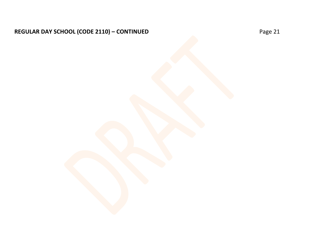**REGULAR DAY SCHOOL (CODE 2110) – CONTINUED** Page 21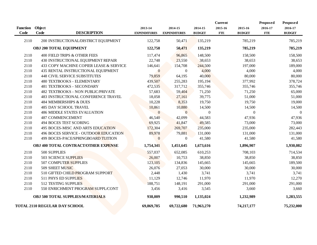|                                      |        |                                           |                     |                     |               | <b>Current</b> |                | Proposed   | Proposed       |
|--------------------------------------|--------|-------------------------------------------|---------------------|---------------------|---------------|----------------|----------------|------------|----------------|
| <b>Function</b>                      | Object |                                           | 2013-14             | 2014-15             | 2014-15       | 2015-16        | 2015-16        | 2016-17    | 2016-17        |
| Code                                 | Code   | <b>DESCRIPTION</b>                        | <b>EXPENDITURES</b> | <b>EXPENDITURES</b> | <b>BUDGET</b> | <b>FTE</b>     | <b>BUDGET</b>  | <b>FTE</b> | <b>BUDGET</b>  |
| 2110                                 |        | 200 INSTRUCTIONAL/DISTRICT EQUIPMENT      | 122,758             | 50,471              | 135,219       |                | 785,219        |            | 785,219        |
|                                      |        | <b>OBJ 200 TOTAL EQUIPMENT</b>            | 122,758             | 50,471              | 135,219       |                | 785,219        |            | 785,219        |
| 2110                                 |        | 400 FIELD TRIPS & OTHER FEES              | 117,474             | 96,865              | 148,500       |                | 158,500        |            | 158,500        |
| 2110                                 |        | 430 INSTRUCTIONAL EQUIPMENT REPAIR        | 22,748              | 23,550              | 38,653        |                | 38,653         |            | 38,653         |
| 2110                                 |        | 433 COPY MACHINE COPIER LEASE & SERVICE   | 146,641             | 154,708             | 244,500       |                | 197,000        |            | 189,000        |
| 2110                                 |        | 435 RENTAL INSTRUCTIONAL EQUIPMENT        | $\mathbf{0}$        | $\boldsymbol{0}$    | 4,000         |                | 4,000          |            | 4,000          |
| 2110                                 |        | <b>448 CIVIL SERVICE SUBSTITUTES</b>      | 79,859              | 64,195              | 40,000        |                | 80,000         |            | 80,000         |
| 2110                                 |        | <b>480 TEXTBOOKS - ELEMENTARY</b>         | 439,507             | 255,283             | 195,194       |                | 377,992        |            | 378,724        |
| 2110                                 |        | 481 TEXTBOOKS - SECONDARY                 | 472,535             | 317,712             | 355,746       |                | 355,746        |            | 355,746        |
| 2110                                 |        | <b>482 TEXTBOOKS - NON PUBLIC/PRIVATE</b> | 57,683              | 59,404              | 71,250        |                | 71,250         |            | 65,000         |
| 2110                                 |        | 483 INSTRUCTIONAL CONFERENCE TRAVEL       | 18,058              | 27,161              | 39,775        |                | 51,000         |            | 51,000         |
| 2110                                 |        | 484 MEMBERSHIPS & DUES                    | 10,228              | 8,353               | 19,750        |                | 19,750         |            | 19,000         |
| 2110                                 |        | 485 DAY SCHOOL TRAVEL                     | 10,861              | 10,880              | 14,500        |                | 14,500         |            | 14,500         |
| 2110                                 |        | <b>486 MIDDLE STATES EVALUATION</b>       | $\mathbf{0}$        | $\mathbf{0}$        | $\Omega$      |                | $\overline{0}$ |            | $\overline{0}$ |
| 2110                                 |        | <b>487 COMMENCEMENT</b>                   | 46,540              | 42,099              | 44,583        |                | 47,936         |            | 47,936         |
| 2110                                 |        | <b>494 BOCES TEST SCORING</b>             | 69,925              | 41,847              | 49,585        |                | 73,000         |            | 73,000         |
| 2110                                 |        | <b>495 BOCES-MISC AND ARTS EDUCATION</b>  | 172,304             | 269,707             | 235,000       |                | 235,000        |            | 282,443        |
| 2110                                 |        | 496 BOCES SERVICE - OUTDOOR EDUCATION     | 89,978              | 79,881              | 131,000       |                | 131,000        |            | 131,000        |
| 2110                                 |        | 499 BOCES-PACE/SPRINGBOARD TUITION        | $\overline{0}$      | $\boldsymbol{0}$    | 41,580        |                | 41,580         |            | 41,580         |
|                                      |        | OBJ 400 TOTAL CONTRACT/OTHER EXPENSE      | 1,754,341           | 1,451,645           | 1,673,616     |                | 1,896,907      |            | 1,930,082      |
| 2110                                 |        | 500 SUPPLIES                              | 557,037             | 652,085             | 610,253       |                | 708,103        |            | 714,534        |
| 2110                                 |        | <b>503 SCIENCE SUPPLIES</b>               | 26,007              | 10,753              | 38,850        |                | 38,850         |            | 38,850         |
| 2110                                 |        | <b>507 COMPUTER SUPPLIES</b>              | 123,105             | 134,836             | 145,665       |                | 145,665        |            | 189,500        |
| 2110                                 |        | 509 SHEET MUSIC                           | 26,076              | 27,053              | 30,000        |                | 30,000         |            | 30,000         |
| 2110                                 |        | 510 GIFTED CHILD PROGRAM SUPPORT          | 2,448               | 1,430               | 3,741         |                | 3,741          |            | 3,741          |
| 2110                                 |        | 511 PHYS ED SUPPLIES                      | 11,129              | 12,746              | 11,970        |                | 11,970         |            | 12,270         |
| 2110                                 |        | 512 TESTING SUPPLIES                      | 188,751             | 148,191             | 291,000       |                | 291,000        |            | 291,000        |
| 2110                                 |        | 550 ENRICHMENT PROGRAM SUPPL/CONT         | 3,456               | 3,416               | 3,545         |                | 3,660          |            | 3,660          |
|                                      |        | <b>OBJ 500 TOTAL SUPPLIES/MATERIALS</b>   | 938,009             | 990,510             | 1,135,024     |                | 1,232,989      |            | 1,283,555      |
| <b>TOTAL 2110 REGULAR DAY SCHOOL</b> |        |                                           | 69,869,785          | 69,722,680          | 71,963,270    |                | 74,217,177     |            | 75,232,000     |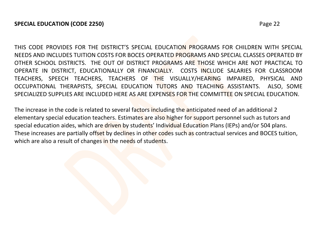THIS CODE PROVIDES FOR THE DISTRICT'S SPECIAL EDUCATION PROGRAMS FOR CHILDREN WITH SPECIAL NEEDS AND INCLUDES TUITION COSTS FOR BOCES OPERATED PROGRAMS AND SPECIAL CLASSES OPERATED BY OTHER SCHOOL DISTRICTS. THE OUT OF DISTRICT PROGRAMS ARE THOSE WHICH ARE NOT PRACTICAL TO OPERATE IN DISTRICT, EDUCATIONALLY OR FINANCIALLY. COSTS INCLUDE SALARIES FOR CLASSROOM TEACHERS, SPEECH TEACHERS, TEACHERS OF THE VISUALLY/HEARING IMPAIRED, PHYSICAL AND OCCUPATIONAL THERAPISTS, SPECIAL EDUCATION TUTORS AND TEACHING ASSISTANTS. ALSO, SOME SPECIALIZED SUPPLIES ARE INCLUDED HERE AS ARE EXPENSES FOR THE COMMITTEE ON SPECIAL EDUCATION.

The increase in the code is related to several factors including the anticipated need of an additional 2 elementary special education teachers. Estimates are also higher for support personnel such as tutors and special education aides, which are driven by students' Individual Education Plans (IEPs) and/or 504 plans. These increases are partially offset by declines in other codes such as contractual services and BOCES tuition, which are also a result of changes in the needs of students.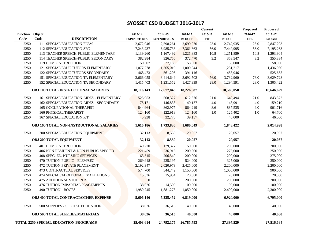|                                              |                                          |  |                     |                     |               | Current    |               | Proposed                      | Proposed      |
|----------------------------------------------|------------------------------------------|--|---------------------|---------------------|---------------|------------|---------------|-------------------------------|---------------|
| Function Object                              |                                          |  | 2013-14             | 2014-15             | 2014-15       | 2015-16    | 2015-16       | 2016-17                       | 2016-17       |
| <b>Code</b>                                  | <b>Code</b><br><b>DESCRIPTION</b>        |  | <b>EXPENDITURES</b> | <b>EXPENDITURES</b> | <b>BUDGET</b> | <b>FTE</b> | <b>BUDGET</b> | ${\bf F}\mathbf{I}\mathbf{E}$ | <b>BUDGET</b> |
| 2250                                         | 111 SPECIAL EDUCATION ELEM               |  | 2,672,946           | 2,598,261           | 2,690,970     | 23.0       | 2,742,935     | 25.0                          | 2,847,293     |
| 2250                                         | 112 SPECIAL EDUCATION SEC                |  | 7,243,237           | 6,985,733           | 7,361,863     | 56.0       | 7,449,995     | 56.0                          | 7,195,263     |
| 2250                                         | 113 TEACHER SPEECH-PUBLIC ELEMENTARY     |  | 1,139,260           | 1,167,492           | 1,221,883     | 10.8       | 1,251,859     | 10.8                          | 1,293,904     |
| 2250                                         | 114 TEACHER SPEECH-PUBLIC SECONDARY      |  | 382,984             | 326,756             | 372,470       | 3.2        | 353,547       | 3.2                           | 355,334       |
| 2250                                         | 119 HOME INSTRUCTION                     |  | 50,507              | 27,180              | 58,000        |            | 58,000        |                               | 58,000        |
| 2250                                         | 121 SPECIAL EDUC TUTORS ELEMENTARY       |  | 1,077,278           | 1,365,019           | 1,009,944     |            | 1,231,217     |                               | 1,436,030     |
| 2250                                         | 122 SPECIAL EDUC TUTORS SECONDARY        |  | 468,473             | 561,206             | 391,116       |            | 453,946       |                               | 525,655       |
| 2250                                         | 151 SPECIAL EDUCATION TA ELEMENTARY      |  | 3,666,055           | 3,414,649           | 3,692,502     | 76.0       | 3,732,960     | 76.0                          | 3,629,728     |
| 2250                                         | 152 SPECIAL EDUCATION TA SECONDARY       |  | 1,415,403           | 1,231,552           | 1,427,939     | 28.0       | 1,294,591     | 28.0                          | 1,305,422     |
|                                              | OBJ 100 TOTAL INSTRUCTIONAL SALARIES     |  | 18,116,143          | 17,677,848          | 18,226,687    |            | 18,569,050    |                               | 18,646,629    |
| 2250                                         | 161 SPECIAL EDUCATION AIDES - ELEMENTARY |  | 525,953             | 568,327             | 612,376       | 21.0       | 640,494       | 21.0                          | 843,372       |
| 2250                                         | 162 SPECIAL EDUCATION AIDES - SECONDARY  |  | 75,171              | 146,838             | 40,137        | 4.0        | 148,991       | 4.0                           | 159,210       |
| 2250                                         | <b>165 OCCUPATIONAL THERAPIST</b>        |  | 844,964             | 862,977             | 864,219       | 8.6        | 887,535       | 9.0                           | 901,716       |
| 2250                                         | 166 PHYSICAL THERAPIST                   |  | 124,160             | 122,918             | 124,160       | $1.0\,$    | 125,402       | $1.0\,$                       | 64,700        |
| 2250                                         | 167 SPECIAL EDUCATION P/T                |  | 45,938              | 32,770              | 39,157        |            | 46,000        |                               | 46,000        |
|                                              | OBJ 160 TOTAL NON-INSTRUCTIONAL SALARIES |  | 1,616,186           | 1,733,830           | 1,680,049     |            | 1,848,422     |                               | 2,014,998     |
| 2250                                         | 200 SPECIAL EDUCATION EQUIPMENT          |  | 32,113              | 8,530               | 20,057        |            | 20,057        |                               | 20,057        |
|                                              | <b>OBJ 200 TOTAL EQUIPMENT</b>           |  | 32,113              | 8,530               | 20,057        |            | 20,057        |                               | 20,057        |
| 2250                                         | <b>401 HOME INSTRUCTION</b>              |  | 149,270             | 179,377             | 150,000       |            | 200,000       |                               | 200,000       |
| 2250                                         | 406 NON RESIDENT & NON PUBLIC SPEC ED    |  | 221,459             | 236,916             | 200,000       |            | 275,000       |                               | 250,000       |
| 2250                                         | 408 SPEC. ED. NURSING SERVICES           |  | 163,515             | 206,540             | 200,000       |            | 200,000       |                               | 275,000       |
| 2250                                         | 470 TUITION PUBLIC - ELEM/SEC            |  | 269,948             | 235,197             | 524,000       |            | 325,000       |                               | 350,000       |
| 2250                                         | <b>472 TUITION PRIVATE PLACEMENT</b>     |  | 2,192,347           | 2,020,973           | 2,425,000     |            | 2,200,000     |                               | 2,200,000     |
| 2250                                         | <b>473 CONTRACTUAL SERVICES</b>          |  | 574,700             | 544,742             | 1,150,000     |            | 1,000,000     |                               | 900,000       |
| 2250                                         | 474 SPECIAL/ADDITIONAL EVALUATIONS       |  | 15,536              | 15,934              | 20,000        |            | 20,000        |                               | 20,000        |
| 2250                                         | <b>475 ADDITIONAL STUDENTS</b>           |  | $\mathbf{0}$        | $\overline{0}$      | 200,000       |            | 200,000       |                               | 200,000       |
| 2250                                         | <b>476 TUITION/IMPARTIAL PLACEMENTS</b>  |  | 38,626              | 14,500              | 100,000       |            | 100,000       |                               | 100,000       |
| 2250                                         | <b>490 TUITION - BOCES</b>               |  | 1,980,745           | 1,881,273           | 1,850,000     |            | 2,400,000     |                               | 2,300,000     |
|                                              | OBJ 400 TOTAL CONTRACT/OTHER EXPENSE     |  | 5,606,146           | 5,335,452           | 6,819,000     |            | 6,920,000     |                               | 6,795,000     |
| 2250                                         | 500 SUPPLIES - SPECIAL EDUCATION         |  | 38,026              | 36,515              | 40,000        |            | 40,000        |                               | 40,000        |
|                                              | OBJ 500 TOTAL SUPPLIES/MATERIALS         |  |                     | 36,515              | 40,000        |            | 40,000        |                               | 40,000        |
| <b>TOTAL 2250 SPECIAL EDUCATION PROGRAMS</b> |                                          |  | 25,408,614          | 24,792,175          | 26,785,793    |            | 27,397,529    |                               | 27,516,684    |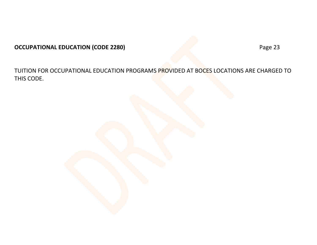**OCCUPATIONAL EDUCATION (CODE 2280)** Page 23

TUITION FOR OCCUPATIONAL EDUCATION PROGRAMS PROVIDED AT BOCES LOCATIONS ARE CHARGED TO THIS CODE.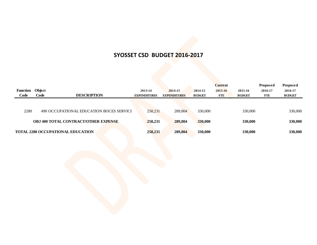|                 |                                             |                     |         |                     |               | <b>Current</b> |               | <b>Proposed</b> | Proposed      |  |
|-----------------|---------------------------------------------|---------------------|---------|---------------------|---------------|----------------|---------------|-----------------|---------------|--|
| <b>Function</b> | <b>Object</b>                               | 2013-14             |         | 2014-15             | 2014-15       | $2015 - 16$    | 2015-16       | 2016-17         | 2016-17       |  |
| Code            | <b>DESCRIPTION</b><br>Code                  | <b>EXPENDITURES</b> |         | <b>EXPENDITURES</b> | <b>BUDGET</b> | <b>FTE</b>     | <b>BUDGET</b> | <b>FTE</b>      | <b>BUDGET</b> |  |
|                 |                                             |                     |         |                     |               |                |               |                 |               |  |
| 2280            | 490 OCCUPATIONAL EDUCATION BOCES SERVICI    |                     | 258,231 | 289,804             | 330,000       |                | 330,000       |                 | 330,000       |  |
|                 | <b>OBJ 400 TOTAL CONTRACT/OTHER EXPENSE</b> |                     | 258,231 | 289,804             | 330,000       |                | 330,000       |                 | 330,000       |  |
|                 | <b>TOTAL 2280 OCCUPATIONAL EDUCATION</b>    |                     | 258,231 | 289,804             | 330,000       |                | 330,000       |                 | 330.000       |  |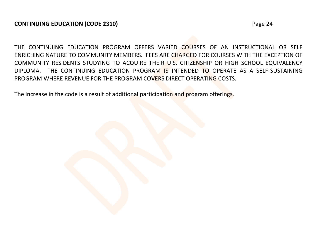THE CONTINUING EDUCATION PROGRAM OFFERS VARIED COURSES OF AN INSTRUCTIONAL OR SELF ENRICHING NATURE TO COMMUNITY MEMBERS. FEES ARE CHARGED FOR COURSES WITH THE EXCEPTION OF COMMUNITY RESIDENTS STUDYING TO ACQUIRE THEIR U.S. CITIZENSHIP OR HIGH SCHOOL EQUIVALENCY DIPLOMA. THE CONTINUING EDUCATION PROGRAM IS INTENDED TO OPERATE AS A SELF-SUSTAINING PROGRAM WHERE REVENUE FOR THE PROGRAM COVERS DIRECT OPERATING COSTS.

The increase in the code is a result of additional participation and program offerings.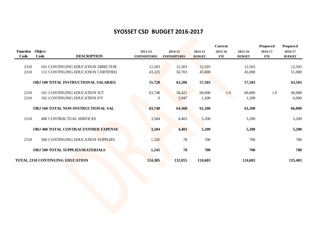|                 |        |                                             |                     |                     |               | <b>Current</b> |               | Proposed   | Proposed      |
|-----------------|--------|---------------------------------------------|---------------------|---------------------|---------------|----------------|---------------|------------|---------------|
| <b>Function</b> | Object |                                             | 2013-14             | 2014-15             | 2014-15       | 2015-16        | 2015-16       | 2016-17    | 2016-17       |
| Code            | Code   | <b>DESCRIPTION</b>                          | <b>EXPENDITURES</b> | <b>EXPENDITURES</b> | <b>BUDGET</b> | <b>FTE</b>     | <b>BUDGET</b> | <b>FTE</b> | <b>BUDGET</b> |
|                 |        |                                             |                     |                     |               |                |               |            |               |
| 2310            |        | 101 CONTINUING EDUCATION DIRECTOR           | 12,503              | 12,503              | 12,503        |                | 12,503        |            | 12,503        |
| 2310            |        | 112 CONTINUING EDUCATION CERTIFIED          | 43,225              | 50,703              | 45,000        |                | 45,000        |            | 51,000        |
|                 |        |                                             |                     |                     |               |                |               |            |               |
|                 |        | <b>OBJ 100 TOTAL INSTRUCTIONAL SALARIES</b> | 55,728              | 63,206              | 57,503        |                | 57,503        |            | 63,503        |
|                 |        |                                             |                     |                     |               |                |               |            |               |
| 2310            |        | 161 CONTINUING EDUCATION N/T                | 63,748              | 58,421              | 60,000        | 1.0            | 60,000        | 1.0        | 60,000        |
| 2310            |        | <b>162 CONTINUING EDUCATION P/T</b>         | $\boldsymbol{0}$    | 5,947               | 1,200         |                | 1,200         |            | 6,000         |
|                 |        |                                             |                     |                     |               |                |               |            |               |
|                 |        | OBJ 160 TOTAL NON-INSTRUCTIONAL SAL         | 63,748              | 64,368              | 61,200        |                | 61,200        |            | 66,000        |
|                 |        |                                             |                     |                     |               |                |               |            |               |
| 2310            |        | <b>400 CONTRACTUAL SERVICES</b>             | 3,584               | 4,403               | 5,200         |                | 5,200         |            | 5,200         |
|                 |        |                                             |                     |                     |               |                |               |            |               |
|                 |        | OBJ 400 TOTAL CONTRACT/OTHER EXPENSE        | 3,584               | 4,403               | 5,200         |                | 5,200         |            | 5,200         |
|                 |        |                                             |                     |                     |               |                |               |            |               |
| 2310            |        | 500 CONTINUING EDUCATION SUPPLIES           | 1,245               | 78                  | 700           |                | 700           |            | 700           |
|                 |        |                                             |                     |                     |               |                |               |            |               |
|                 |        | <b>OBJ 500 TOTAL SUPPLIES/MATERIALS</b>     | 1,245               | 78                  | 700           |                | 700           |            | 700           |
|                 |        |                                             |                     |                     |               |                |               |            |               |
|                 |        | <b>TOTAL 2310 CONTINUING EDUCATION</b>      | 124,305             | 132,055             | 124,603       |                | 124,603       |            | 135,403       |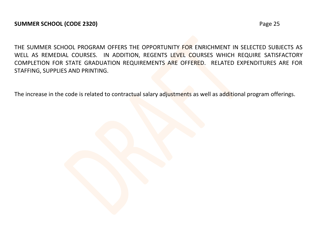#### **SUMMER SCHOOL (CODE 2320)** Page 25

THE SUMMER SCHOOL PROGRAM OFFERS THE OPPORTUNITY FOR ENRICHMENT IN SELECTED SUBJECTS AS WELL AS REMEDIAL COURSES. IN ADDITION, REGENTS LEVEL COURSES WHICH REQUIRE SATISFACTORY COMPLETION FOR STATE GRADUATION REQUIREMENTS ARE OFFERED. RELATED EXPENDITURES ARE FOR STAFFING, SUPPLIES AND PRINTING.

The increase in the code is related to contractual salary adjustments as well as additional program offerings.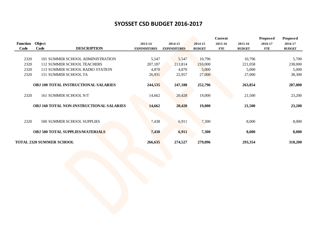| Object<br><b>Function</b><br>2013-14<br>2014-15<br>2015-16<br>2015-16<br>2014-15                                                 | 2016-17<br>2016-17          |
|----------------------------------------------------------------------------------------------------------------------------------|-----------------------------|
|                                                                                                                                  |                             |
| Code<br><b>DESCRIPTION</b><br>Code<br><b>BUDGET</b><br><b>FTE</b><br><b>BUDGET</b><br><b>EXPENDITURES</b><br><b>EXPENDITURES</b> | <b>FTE</b><br><b>BUDGET</b> |
|                                                                                                                                  |                             |
| 2320<br>10,796<br>101 SUMMER SCHOOL ADMINISTRATION<br>10,796<br>5,547<br>5,547                                                   | 5,700                       |
| 2320<br><b>112 SUMMER SCHOOL TEACHERS</b><br>210,000<br>221,058<br>207,187<br>213,814                                            | 238,000                     |
| 2320<br>113 SUMMER SCHOOL RADIO STATION<br>4,870<br>4,870<br>5,000<br>5,000                                                      | 5,000                       |
| 2320<br><b>151 SUMMER SCHOOL TA</b><br>26,931<br>22,957<br>27,000<br>27,000                                                      | 38,300                      |
|                                                                                                                                  |                             |
| <b>OBJ 100 TOTAL INSTRUCTIONAL SALARIES</b><br>247,188<br>252,796<br>263,854<br>244,535                                          | 287,000                     |
|                                                                                                                                  |                             |
| 161 SUMMER SCHOOL N/T<br>2320<br>20,428<br>19,000<br>21,500<br>14,662                                                            | 23,200                      |
|                                                                                                                                  |                             |
| <b>OBJ 160 TOTAL NON-INSTRUCTIONAL SALARIES</b><br>19,000<br>14,662<br>20,428<br>21,500                                          | 23,200                      |
|                                                                                                                                  |                             |
|                                                                                                                                  |                             |
| 2320<br><b>500 SUMMER SCHOOL SUPPLIES</b><br>7,438<br>6,911<br>7,300<br>8,000                                                    | 8,000                       |
|                                                                                                                                  |                             |
| <b>OBJ 500 TOTAL SUPPLIES/MATERIALS</b><br>7,438<br>6,911<br>7,300<br>8,000                                                      | 8,000                       |
|                                                                                                                                  |                             |
| <b>TOTAL 2320 SUMMER SCHOOL</b><br>266,635<br>274,527<br>279,096<br>293,354                                                      | 318,200                     |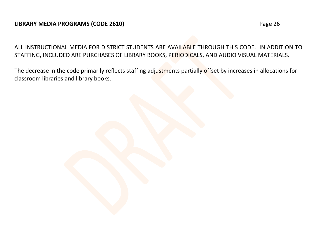ALL INSTRUCTIONAL MEDIA FOR DISTRICT STUDENTS ARE AVAILABLE THROUGH THIS CODE. IN ADDITION TO STAFFING, INCLUDED ARE PURCHASES OF LIBRARY BOOKS, PERIODICALS, AND AUDIO VISUAL MATERIALS.

The decrease in the code primarily reflects staffing adjustments partially offset by increases in allocations for classroom libraries and library books.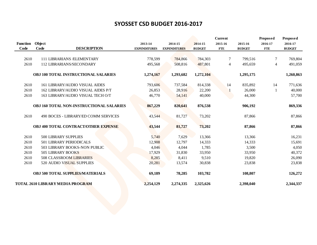|                 |             |                                                 |                     |                     |               | <b>Current</b> |               |                | Proposed      |  |
|-----------------|-------------|-------------------------------------------------|---------------------|---------------------|---------------|----------------|---------------|----------------|---------------|--|
| <b>Function</b> | Object      |                                                 | 2013-14             | 2014-15             | 2014-15       | 2015-16        | 2015-16       | 2016-17        | 2016-17       |  |
| Code            | <b>Code</b> | <b>DESCRIPTION</b>                              | <b>EXPENDITURES</b> | <b>EXPENDITURES</b> | <b>BUDGET</b> | <b>FTE</b>     | <b>BUDGET</b> | <b>FTE</b>     | <b>BUDGET</b> |  |
|                 |             |                                                 |                     |                     |               |                |               |                |               |  |
| 2610            |             | <b>111 LIBRARIANS /ELEMENTARY</b>               | 778,599             | 784,866             | 784,303       | 7              | 799,516       | 7              | 769,804       |  |
| 2610            |             | 112 LIBRARIANS/SECONDARY                        | 495,568             | 508,816             | 487,801       | $\overline{4}$ | 495,659       | $\overline{4}$ | 491,059       |  |
|                 |             | OBJ 100 TOTAL INSTRUCTIONAL SALARIES            | 1,274,167           | 1,293,682           | 1,272,104     |                | 1,295,175     |                | 1,260,863     |  |
| 2610            |             | <b>161 LIBRARY/AUDIO VISUAL AIDES</b>           | 793,606             | 737,584             | 814,338       | 14             | 835,892       | 14             | 771,636       |  |
| 2610            |             | 162 LIBRARY/AUDIO VISUAL AIDES P/T              | 26,853              | 28,916              | 22,200        |                | 26,000        | -1             | 40,000        |  |
| 2610            |             | 163 LIBRARY/AUDIO VISUAL TECH O/T               | 46,770              | 54,141              | 40,000        |                | 44,300        |                | 57,700        |  |
|                 |             | <b>OBJ 160 TOTAL NON-INSTRUCTIONAL SALARIES</b> | 867,229             | 820,641             | 876,538       |                | 906,192       |                | 869,336       |  |
| 2610            |             | 490 BOCES - LIBRARY/ED COMM SERVICES            | 43,544              | 81,727              | 73,202        |                | 87,866        |                | 87,866        |  |
|                 |             | OBJ 400 TOTAL CONTRACT/OTHER EXPENSE            | 43,544              | 81,727              | 73,202        |                | 87,866        |                | 87,866        |  |
| 2610            |             | <b>500 LIBRARY SUPPLIES</b>                     | 5,740               | 7,629               | 13,366        |                | 13,366        |                | 16,231        |  |
| 2610            |             | <b>501 LIBRARY PERIODICALS</b>                  | 12,908              | 12,797              | 14,333        |                | 14,333        |                | 15,691        |  |
| 2610            |             | 503 LIBRARY BOOKS-NON PUBLIC                    | 4,046               | 4,044               | 1,785         |                | 3,500         |                | 4,050         |  |
| 2610            |             | 505 LIBRARY BOOKS                               | 17,929              | 31,830              | 33,950        |                | 33,950        |                | 40,372        |  |
| 2610            |             | <b>508 CLASSROOM LIBRARIES</b>                  | 8,285               | 8,411               | 9,510         |                | 19,820        |                | 26,090        |  |
| 2610            |             | 520 AUDIO VISUAL SUPPLIES                       | 20,281              | 13,574              | 30,838        |                | 23,838        |                | 23,838        |  |
|                 |             | <b>OBJ 500 TOTAL SUPPLIES/MATERIALS</b>         | 69,189              | 78,285              | 103,782       |                | 108,807       |                | 126,272       |  |
|                 |             | TOTAL 2610 LIBRARY MEDIA PROGRAM                | 2,254,129           | 2,274,335           | 2,325,626     |                | 2,398,040     |                | 2,344,337     |  |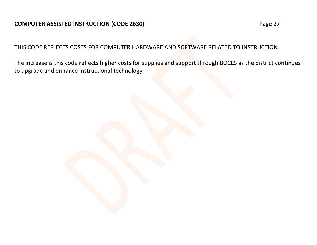#### **COMPUTER ASSISTED INSTRUCTION (CODE 2630)** Page 27

THIS CODE REFLECTS COSTS FOR COMPUTER HARDWARE AND SOFTWARE RELATED TO INSTRUCTION.

The increase is this code reflects higher costs for supplies and support through BOCES as the district continues to upgrade and enhance instructional technology.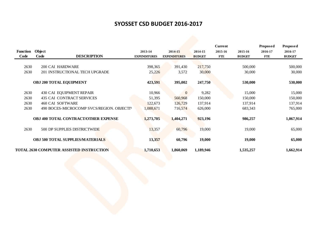|                 |        |                                                 |                     |                     |               | Current    |               | <b>Proposed</b> | Proposed      |
|-----------------|--------|-------------------------------------------------|---------------------|---------------------|---------------|------------|---------------|-----------------|---------------|
| <b>Function</b> | Object |                                                 | 2013-14             | 2014-15             | 2014-15       | 2015-16    | 2015-16       | 2016-17         | 2016-17       |
| Code            | Code   | <b>DESCRIPTION</b>                              | <b>EXPENDITURES</b> | <b>EXPENDITURES</b> | <b>BUDGET</b> | <b>FTE</b> | <b>BUDGET</b> | <b>FTE</b>      | <b>BUDGET</b> |
|                 |        |                                                 |                     |                     |               |            |               |                 |               |
| 2630            |        | 200 CAI HARDWARE                                | 398,365             | 391,430             | 217,750       |            | 500,000       |                 | 500,000       |
| 2630            |        | 201 INSTRUCTIONAL TECH UPGRADE                  | 25,226              | 3,572               | 30,000        |            | 30,000        |                 | 30,000        |
|                 |        |                                                 |                     |                     |               |            |               |                 |               |
|                 |        | <b>OBJ 200 TOTAL EQUIPMENT</b>                  | 423,591             | 395,002             | 247,750       |            | 530,000       |                 | 530,000       |
|                 |        |                                                 |                     |                     |               |            |               |                 |               |
| 2630            |        | 430 CAI EQUIPMENT REPAIR                        | 10,966              | $\overline{0}$      | 9,282         |            | 15,000        |                 | 15,000        |
| 2630            |        | <b>435 CAI CONTRACT SERVICES</b>                | 51,395              | 560,968             | 150,000       |            | 150,000       |                 | 150,000       |
| 2630            |        | 460 CAI SOFTWARE                                | 122,673             | 126,729             | 137,914       |            | 137,914       |                 | 137,914       |
| 2630            |        | 490 BOCES-MICROCOMP SVCS/REGION. OBJECTIV       | 1,088,671           | 716,574             | 626,000       |            | 683,343       |                 | 765,000       |
|                 |        |                                                 |                     |                     |               |            |               |                 |               |
|                 |        | <b>OBJ 400 TOTAL CONTRACT/OTHER EXPENSE</b>     | 1,273,705           | 1,404,271           | 923,196       |            | 986,257       |                 | 1,067,914     |
|                 |        |                                                 |                     |                     |               |            |               |                 |               |
| 2630            |        | 500 DP SUPPLIES DISTRICTWIDE                    | 13,357              | 60,796              | 19,000        |            | 19,000        |                 | 65,000        |
|                 |        |                                                 |                     |                     |               |            |               |                 |               |
|                 |        | <b>OBJ 500 TOTAL SUPPLIES/MATERIALS</b>         | 13,357              | 60,796              | 19,000        |            | 19,000        |                 | 65,000        |
|                 |        |                                                 |                     |                     |               |            |               |                 |               |
|                 |        | <b>TOTAL 2630 COMPUTER ASSISTED INSTRUCTION</b> | 1,710,653           | 1,860,069           | 1,189,946     |            | 1,535,257     |                 | 1,662,914     |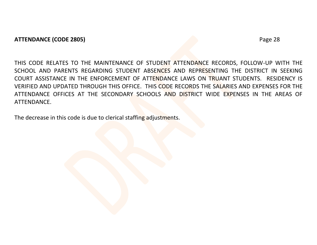#### **ATTENDANCE (CODE 2805)** Page 28

THIS CODE RELATES TO THE MAINTENANCE OF STUDENT ATTENDANCE RECORDS, FOLLOW-UP WITH THE SCHOOL AND PARENTS REGARDING STUDENT ABSENCES AND REPRESENTING THE DISTRICT IN SEEKING COURT ASSISTANCE IN THE ENFORCEMENT OF ATTENDANCE LAWS ON TRUANT STUDENTS. RESIDENCY IS VERIFIED AND UPDATED THROUGH THIS OFFICE. THIS CODE RECORDS THE SALARIES AND EXPENSES FOR THE ATTENDANCE OFFICES AT THE SECONDARY SCHOOLS AND DISTRICT WIDE EXPENSES IN THE AREAS OF ATTENDANCE.

The decrease in this code is due to clerical staffing adjustments.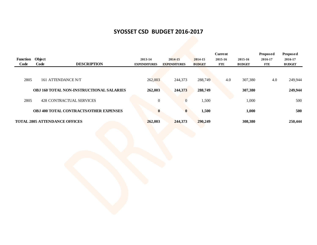| <b>Function</b>                      | Object |                                                 | 2013-14             | 2014-15             | 2014-15       | <b>Current</b><br>2015-16 | 2015-16       | <b>Proposed</b><br>2016-17 | Proposed<br>2016-17 |
|--------------------------------------|--------|-------------------------------------------------|---------------------|---------------------|---------------|---------------------------|---------------|----------------------------|---------------------|
| Code                                 | Code   | <b>DESCRIPTION</b>                              | <b>EXPENDITURES</b> | <b>EXPENDITURES</b> | <b>BUDGET</b> | <b>FTE</b>                | <b>BUDGET</b> | <b>FTE</b>                 | <b>BUDGET</b>       |
| 2805                                 |        | 161 ATTENDANCE N/T                              | 262,003             | 244,373             | 288,749       | 4.0                       | 307,380       | 4.0                        | 249,944             |
|                                      |        | <b>OBJ 160 TOTAL NON-INSTRUCTIONAL SALARIES</b> | 262,003             | 244,373             | 288,749       |                           | 307,380       |                            | 249,944             |
| 2805                                 |        | <b>428 CONTRACTUAL SERVICES</b>                 | $\mathbf{0}$        | $\overline{0}$      | 1,500         |                           | 1,000         |                            | 500                 |
|                                      |        | <b>OBJ 400 TOTAL CONTRACTS/OTHER EXPENSES</b>   | $\bf{0}$            | $\bf{0}$            | 1,500         |                           | 1,000         |                            | 500                 |
| <b>TOTAL 2805 ATTENDANCE OFFICES</b> |        |                                                 | 262,003             | 244,373             | 290,249       |                           | 308,380       |                            | 250,444             |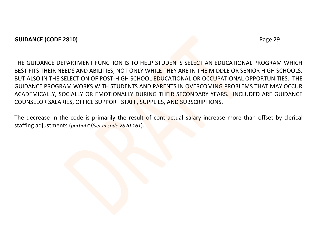THE GUIDANCE DEPARTMENT FUNCTION IS TO HELP STUDENTS SELECT AN EDUCATIONAL PROGRAM WHICH BEST FITS THEIR NEEDS AND ABILITIES, NOT ONLY WHILE THEY ARE IN THE MIDDLE OR SENIOR HIGH SCHOOLS, BUT ALSO IN THE SELECTION OF POST-HIGH SCHOOL EDUCATIONAL OR OCCUPATIONAL OPPORTUNITIES. THE GUIDANCE PROGRAM WORKS WITH STUDENTS AND PARENTS IN OVERCOMING PROBLEMS THAT MAY OCCUR ACADEMICALLY, SOCIALLY OR EMOTIONALLY DURING THEIR SECONDARY YEARS. INCLUDED ARE GUIDANCE COUNSELOR SALARIES, OFFICE SUPPORT STAFF, SUPPLIES, AND SUBSCRIPTIONS.

The decrease in the code is primarily the result of contractual salary increase more than offset by clerical staffing adjustments (*partial* o*ffset in code 2820.161*).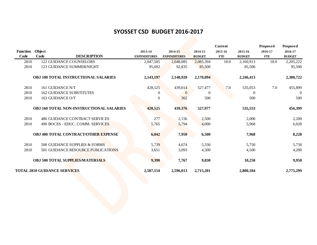|                                          |             |                                       |                     |                     | <b>Current</b> |            |               | Proposed   | Proposed      |
|------------------------------------------|-------------|---------------------------------------|---------------------|---------------------|----------------|------------|---------------|------------|---------------|
| <b>Function</b>                          | Object      |                                       | 2013-14             | 2014-15             | 2014-15        | 2015-16    | 2015-16       | 2016-17    | 2016-17       |
| Code                                     | <b>Code</b> | <b>DESCRIPTION</b>                    | <b>EXPENDITURES</b> | <b>EXPENDITURES</b> | <b>BUDGET</b>  | <b>FTE</b> | <b>BUDGET</b> | <b>FTE</b> | <b>BUDGET</b> |
| 2810                                     |             | <b>122 GUIDANCE COUNSELORS</b>        | 2,047,505           | 2,048,085           | 2,085,394      | 18.0       | 2,160,913     | 18.0       | 2,205,222     |
| 2810                                     |             | 123 GUIDANCE SUMMER/NIGHT             | 95,692              | 92,835              | 85,500         |            | 85,500        |            | 95,500        |
|                                          |             | OBJ 100 TOTAL INSTRUCTIONAL SALARIES  | 2,143,197           | 2,140,920           | 2,170,894      |            | 2,246,413     |            | 2,300,722     |
| 2810                                     |             | 161 GUIDANCE N/T                      | 428,525             | 439,014             | 527,477        | 7.0        | 535,053       | 7.0        | 455,899       |
| 2810                                     |             | <b>162 GUIDANCE SUBSTITUTES</b>       | $\Omega$            | $\theta$            | $\overline{0}$ |            | $\theta$      |            | $\theta$      |
| 2810                                     |             | 163 GUIDANCE O/T                      | $\Omega$            | 362                 | 500            |            | 500           |            | 500           |
| OBJ 160 TOTAL NON-INSTRUCTIONAL SALARIES |             | 428,525                               | 439,376             | 527,977             |                | 535,553    |               | 456,399    |               |
| 2810                                     |             | <b>486 GUIDANCE CONTRACT SERVICES</b> | 277                 | 2,156               | 2,500          |            | 2,000         |            | 2,200         |
| 2810                                     |             | 490 BOCES - EDUC. COMM. SERVICES      | 5,765               | 5,794               | 4,000          |            | 5,968         |            | 6,028         |
|                                          |             | OBJ 400 TOTAL CONTRACT/OTHER EXPENSE  | 6,042               | 7,950               | 6,500          |            | 7,968         |            | 8,228         |
| 2810                                     |             | 500 GUIDANCE SUPPLIES & FORMS         | 5,739               | 4,674               | 5,330          |            | 5,750         |            | 5,750         |
| 2810                                     |             | 501 GUIDANCE RESOURCE PUBLICATIONS    | 3,651               | 3,093               | 4,500          |            | 4,500         |            | 4,200         |
| <b>OBJ 500 TOTAL SUPPLIES/MATERIALS</b>  |             |                                       | 9,390               | 7,767               | 9,830          |            | 10,250        |            | 9,950         |
| <b>TOTAL 2810 GUIDANCE SERVICES</b>      |             |                                       | 2,587,154           | 2,596,013           | 2,715,201      |            | 2,800,184     |            | 2,775,299     |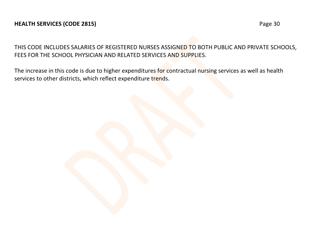THIS CODE INCLUDES SALARIES OF REGISTERED NURSES ASSIGNED TO BOTH PUBLIC AND PRIVATE SCHOOLS, FEES FOR THE SCHOOL PHYSICIAN AND RELATED SERVICES AND SUPPLIES.

The increase in this code is due to higher expenditures for contractual nursing services as well as health services to other districts, which reflect expenditure trends.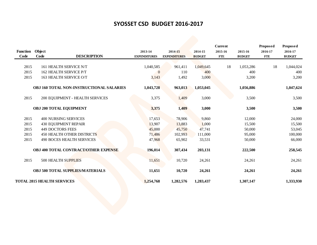|                                             |        |                                                 |                     |                     | <b>Current</b> |            |               | Proposed   | Proposed      |
|---------------------------------------------|--------|-------------------------------------------------|---------------------|---------------------|----------------|------------|---------------|------------|---------------|
| <b>Function</b>                             | Object |                                                 | 2013-14             | 2014-15             | 2014-15        | 2015-16    | 2015-16       | 2016-17    | 2016-17       |
| Code                                        | Code   | <b>DESCRIPTION</b>                              | <b>EXPENDITURES</b> | <b>EXPENDITURES</b> | <b>BUDGET</b>  | <b>FTE</b> | <b>BUDGET</b> | <b>FTE</b> | <b>BUDGET</b> |
|                                             |        |                                                 |                     |                     |                |            |               |            |               |
| 2815                                        |        | 161 HEALTH SERVICE N/T                          | 1,040,585           | 961,411             | 1,049,645      | 18         | 1,053,286     | 18         | 1,044,024     |
| 2815                                        |        | 162 HEALTH SERVICE P/T                          | $\theta$            | 110                 | 400            |            | 400           |            | 400           |
| 2815                                        |        | 163 HEALTH SERVICE O/T                          | 3,143               | 1,492               | 3,000          |            | 3,200         |            | 3,200         |
|                                             |        | <b>OBJ 160 TOTAL NON-INSTRUCTIONAL SALARIES</b> | 1,043,728           | 963,013             | 1,053,045      |            | 1,056,886     |            | 1,047,624     |
| 2815                                        |        | 200 EQUIPMENT - HEALTH SERVICES                 | 3,375               | 1,409               | 3,000          |            | 3,500         |            | 3,500         |
| <b>OBJ 200 TOTAL EQUIPMENT</b>              |        | 3,375                                           | 1,409               | 3,000               |                | 3,500      |               | 3,500      |               |
| 2815                                        |        | <b>400 NURSING SERVICES</b>                     | 17,653              | 78,906              | 9,860          |            | 12,000        |            | 24,000        |
| 2815                                        |        | <b>430 EQUIPMENT REPAIR</b>                     | 13,907              | 13,883              | 1,000          |            | 15,500        |            | 15,500        |
| 2815                                        |        | <b>449 DOCTORS FEES</b>                         | 45,000              | 45,750              | 47,741         |            | 50,000        |            | 53,045        |
| 2815                                        |        | <b>450 HEALTH OTHER DISTRICTS</b>               | 71,486              | 102,993             | 111,000        |            | 95,000        |            | 100,000       |
| 2815                                        |        | <b>490 BOCES HEALTH SERVICES</b>                | 47,968              | 65,902              | 33,531         |            | 50,000        |            | 66,000        |
| <b>OBJ 400 TOTAL CONTRACT/OTHER EXPENSE</b> |        |                                                 | 196,014             | 307,434             | 203,131        |            | 222,500       |            | 258,545       |
| 2815                                        |        | <b>500 HEALTH SUPPLIES</b>                      | 11,651              | 10,720              | 24,261         |            | 24,261        |            | 24,261        |
| <b>OBJ 500 TOTAL SUPPLIES/MATERIALS</b>     |        |                                                 | 11,651              | 10,720              | 24,261         |            | 24,261        |            | 24,261        |
| <b>TOTAL 2815 HEALTH SERVICES</b>           |        |                                                 | 1,254,768           | 1,282,576           | 1,283,437      |            | 1,307,147     |            | 1,333,930     |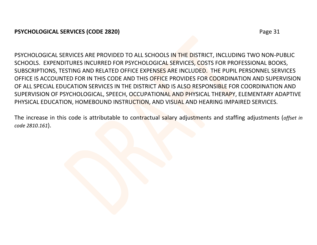#### **PSYCHOLOGICAL SERVICES (CODE 2820)** Page 31

PSYCHOLOGICAL SERVICES ARE PROVIDED TO ALL SCHOOLS IN THE DISTRICT, INCLUDING TWO NON-PUBLIC SCHOOLS. EXPENDITURES INCURRED FOR PSYCHOLOGICAL SERVICES, COSTS FOR PROFESSIONAL BOOKS, SUBSCRIPTIONS, TESTING AND RELATED OFFICE EXPENSES ARE INCLUDED. THE PUPIL PERSONNEL SERVICES OFFICE IS ACCOUNTED FOR IN THIS CODE AND THIS OFFICE PROVIDES FOR COORDINATION AND SUPERVISION OF ALL SPECIAL EDUCATION SERVICES IN THE DISTRICT AND IS ALSO RESPONSIBLE FOR COORDINATION AND SUPERVISION OF PSYCHOLOGICAL, SPEECH, OCCUPATIONAL AND PHYSICAL THERAPY, ELEMENTARY ADAPTIVE PHYSICAL EDUCATION, HOMEBOUND INSTRUCTION, AND VISUAL AND HEARING IMPAIRED SERVICES.

The increase in this code is attributable to contractual salary adjustments and staffing adjustments (*offset in code 2810.161*).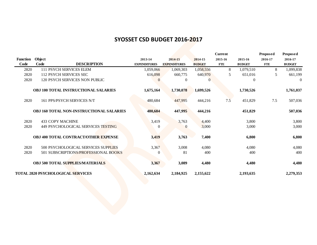|                                                 |        |                                             |                     |                     | <b>Current</b> |            |               | Proposed   | Proposed      |
|-------------------------------------------------|--------|---------------------------------------------|---------------------|---------------------|----------------|------------|---------------|------------|---------------|
| <b>Function</b>                                 | Object |                                             | 2013-14             | 2014-15             | 2014-15        | 2015-16    | 2015-16       | 2016-17    | 2016-17       |
| Code                                            | Code   | <b>DESCRIPTION</b>                          | <b>EXPENDITURES</b> | <b>EXPENDITURES</b> | <b>BUDGET</b>  | <b>FTE</b> | <b>BUDGET</b> | <b>FTE</b> | <b>BUDGET</b> |
| 2820                                            |        | 111 PSYCH SERVICES ELEM                     | 1,059,066           | 1,069,303           | 1,058,556      | 8          | 1,079,510     | 8          | 1,099,838     |
| 2820                                            |        | 112 PSYCH SERVICES SEC                      | 616,098             | 660,775             | 640,970        | 5          | 651,016       | 5          | 661,199       |
| 2820                                            |        | 120 PSYCH SERVICES NON PUBLIC               | $\Omega$            | $\Omega$            | $\Omega$       |            | $\Omega$      |            | $\theta$      |
|                                                 |        | OBJ 100 TOTAL INSTRUCTIONAL SALARIES        | 1,675,164           | 1,730,078           | 1,699,526      |            | 1,730,526     |            | 1,761,037     |
| 2820                                            |        | 161 PPS/PSYCH SERVICES N/T                  | 480,684             | 447,995             | 444,216        | 7.5        | 451,829       | 7.5        | 507,036       |
|                                                 |        | OBJ 160 TOTAL NON-INSTRUCTIONAL SALARIES    | 480,684             | 447,995             | 444,216        |            | 451,829       |            | 507,036       |
| 2820                                            |        | <b>433 COPY MACHINE</b>                     | 3,419               | 3,763               | 4,400          |            | 3,800         |            | 3,800         |
| 2820                                            |        | 449 PSYCHOLOGICAL SERVICES TESTING          | $\theta$            | $\Omega$            | 3,000          |            | 3,000         |            | 3,000         |
|                                                 |        | <b>OBJ 400 TOTAL CONTRACT/OTHER EXPENSE</b> | 3,419               | 3,763               | 7,400          |            | 6,800         |            | 6,800         |
| 2820                                            |        | 500 PSYCHOLOGICAL SERVICES SUPPLIES         | 3,367               | 3,008               | 4,080          |            | 4,080         |            | 4,080         |
| 2820                                            |        | 501 SUBSCRIPTIONS/PROFESSIONAL BOOKS        | $\theta$            | 81                  | 400            |            | 400           |            | 400           |
|                                                 |        | <b>OBJ 500 TOTAL SUPPLIES/MATERIALS</b>     | 3,367               | 3,089               | 4,480          |            | 4,480         |            | 4,480         |
| TOTAL 2820 PSYCHOLOGICAL <mark>SER</mark> VICES |        |                                             | 2,162,634           | 2,184,925           | 2,155,622      |            | 2,193,635     |            | 2,279,353     |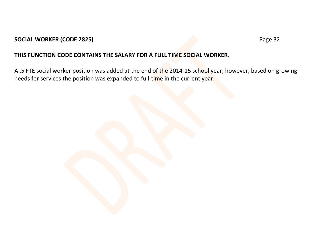#### **SOCIAL WORKER (CODE 2825) Page 32**

#### **THIS FUNCTION CODE CONTAINS THE SALARY FOR A FULL TIME SOCIAL WORKER.**

A .5 FTE social worker position was added at the end of the 2014-15 school year; however, based on growing needs for services the position was expanded to full-time in the current year.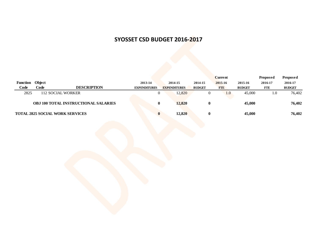|                                        |               |                                             |                     |          |                     |               | <b>Current</b> |               | Proposed   | <b>Proposed</b> |
|----------------------------------------|---------------|---------------------------------------------|---------------------|----------|---------------------|---------------|----------------|---------------|------------|-----------------|
| <b>Function</b>                        | <b>Object</b> |                                             | 2013-14             |          | 2014-15             | 2014-15       | 2015-16        | 2015-16       | 2016-17    | 2016-17         |
| Code                                   | Code          | <b>DESCRIPTION</b>                          | <b>EXPENDITURES</b> |          | <b>EXPENDITURES</b> | <b>BUDGET</b> | <b>FTE</b>     | <b>BUDGET</b> | <b>FTE</b> | <b>BUDGET</b>   |
| 2825                                   |               | <b>112 SOCIAL WORKER</b>                    |                     |          | 12,820              |               | 1.0<br>O       | 45,000        | 1.0        | 76,402          |
|                                        |               | <b>OBJ 100 TOTAL INSTRUCTIONAL SALARIES</b> |                     | 0        | 12,820              |               | 0              | 45,000        |            | 76.402          |
| <b>TOTAL 2825 SOCIAL WORK SERVICES</b> |               |                                             |                     | $\bf{0}$ | 12.820              |               | 0              | 45,000        |            | 76,402          |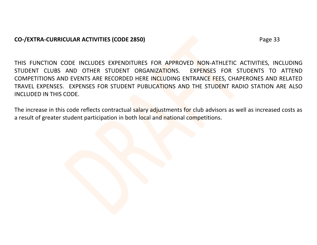#### **CO-/EXTRA-CURRICULAR ACTIVITIES (CODE 2850)** Page 33

THIS FUNCTION CODE INCLUDES EXPENDITURES FOR APPROVED NON-ATHLETIC ACTIVITIES, INCLUDING STUDENT CLUBS AND OTHER STUDENT ORGANIZATIONS. EXPENSES FOR STUDENTS TO ATTEND COMPETITIONS AND EVENTS ARE RECORDED HERE INCLUDING ENTRANCE FEES, CHAPERONES AND RELATED TRAVEL EXPENSES. EXPENSES FOR STUDENT PUBLICATIONS AND THE STUDENT RADIO STATION ARE ALSO INCLUDED IN THIS CODE.

The increase in this code reflects contractual salary adjustments for club advisors as well as increased costs as a result of greater student participation in both local and national competitions.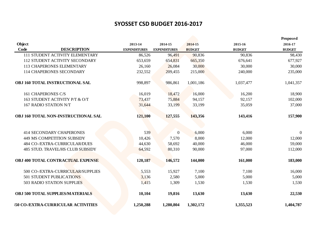|                    |                                           |                     |                     |               |               | Proposed      |
|--------------------|-------------------------------------------|---------------------|---------------------|---------------|---------------|---------------|
| Object             |                                           | 2013-14             | 2014-15             | 2014-15       | 2015-16       | 2016-17       |
| Code               | <b>DESCRIPTION</b>                        | <b>EXPENDITURES</b> | <b>EXPENDITURES</b> | <b>BUDGET</b> | <b>BUDGET</b> | <b>BUDGET</b> |
|                    | 111 STUDENT ACTIVITY ELEMENTARY           | 86,526              | 96,491              | 90,836        | 90,836        | 98,430        |
|                    | <b>112 STUDENT ACTIVITY SECONDARY</b>     | 653,659             | 654,831             | 665,350       | 676,641       | 677,927       |
|                    | <b>113 CHAPERONES ELEMENTARY</b>          | 26,160              | 26,084              | 30,000        | 30,000        | 30,000        |
|                    | <b>114 CHAPERONES SECONDARY</b>           | 232,552             | 209,455             | 215,000       | 240,000       | 235,000       |
|                    | <b>OBJ 160 TOTAL INSTRUCTIONAL SAL</b>    | 998,897             | 986,861             | 1,001,186     | 1,037,477     | 1,041,357     |
| 161 CHAPERONES C/S |                                           | 16,019              | 18,472              | 16,000        | 16,200        | 18,900        |
|                    | 163 STUDENT ACTIVITY P/T & O/T            | 73,437              | 75,884              | 94,157        | 92,157        | 102,000       |
|                    | 167 RADIO STATION N/T                     | 31,644              | 33,199              | 33,199        | 35,059        | 37,000        |
|                    | OBJ 160 TOTAL NON-INSTRUCTIONAL SAL       | 121,100             | 127,555             | 143,356       | 143,416       | 157,900       |
|                    |                                           |                     |                     |               |               |               |
|                    | <b>414 SECONDARY CHAPERONES</b>           | 539                 | $\overline{0}$      | 6,000         | 6,000         | $\mathbf{0}$  |
|                    | <b>449 MS COMPETITION SUBSIDY</b>         | 10,426              | 7,570               | 8,000         | 12,000        | 12,000        |
|                    | <b>484 CO-/EXTRA-CURRICULAR/DUES</b>      | 44,630              | 58,692              | 40,000        | 46,000        | 59,000        |
|                    | <b>485 STUD. TRAVEL/HS CLUB SUBSIDY</b>   | 64,592              | 80,310              | 90,000        | 97,000        | 112,000       |
|                    | <b>OBJ 400 TOTAL CONTRACTUAL EXPENSE</b>  | 120,187             | 146,572             | 144,000       | 161,000       | 183,000       |
|                    | 500 CO-/EXTRA-CURRICULAR/SUPPLIES         | 5,553               | 15,927              | 7,100         | 7,100         | 16,000        |
|                    | <b>501 STUDENT PUBLICATIONS</b>           | 3,136               | 2,580               | 5,000         | 5,000         | 5,000         |
|                    | 503 RADIO STATION SUPPLIES                | 1,415               | 1,309               | 1,530         | 1,530         | 1,530         |
|                    | <b>OBJ 500 TOTAL SUPPLIES/MATERIALS</b>   | 10,104              | 19,816              | 13,630        | 13,630        | 22,530        |
|                    | <b>50 CO-/EXTRA-CURRICULAR ACTIVITIES</b> | 1,250,288           | 1,280,804           | 1,302,172     | 1,355,523     | 1,404,787     |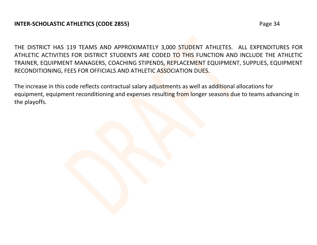THE DISTRICT HAS 119 TEAMS AND APPROXIMATELY 3,000 STUDENT ATHLETES. ALL EXPENDITURES FOR ATHLETIC ACTIVITIES FOR DISTRICT STUDENTS ARE CODED TO THIS FUNCTION AND INCLUDE THE ATHLETIC TRAINER, EQUIPMENT MANAGERS, COACHING STIPENDS, REPLACEMENT EQUIPMENT, SUPPLIES, EQUIPMENT RECONDITIONING, FEES FOR OFFICIALS AND ATHLETIC ASSOCIATION DUES.

The increase in this code reflects contractual salary adjustments as well as additional allocations for equipment, equipment reconditioning and expenses resulting from longer seasons due to teams advancing in the playoffs.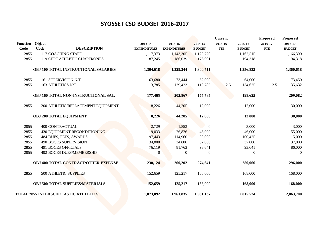|                 |        |                                             |                     |                     |               | <b>Current</b> |                  | Proposed   | Proposed       |
|-----------------|--------|---------------------------------------------|---------------------|---------------------|---------------|----------------|------------------|------------|----------------|
| <b>Function</b> | Object |                                             | 2013-14             | 2014-15             | 2014-15       | 2015-16        | 2015-16          | 2016-17    | 2016-17        |
| Code            |        | Code<br><b>DESCRIPTION</b>                  | <b>EXPENDITURES</b> | <b>EXPENDITURES</b> | <b>BUDGET</b> | <b>FTE</b>     | <b>BUDGET</b>    | <b>FTE</b> | <b>BUDGET</b>  |
| 2855            |        | <b>117 COACHING STAFF</b>                   | 1,117,373           | 1,143,305           | 1,123,720     |                | 1,162,515        |            | 1,166,300      |
| 2855            |        | 119 CERT ATHLETIC CHAPERONES                | 187,245             | 186,039             | 176,991       |                | 194,318          |            | 194,318        |
|                 |        |                                             |                     |                     |               |                |                  |            |                |
|                 |        | OBJ 100 TOTAL INSTRUCTIONAL SALARIES        | 1,304,618           | 1,329,344           | 1,300,711     |                | 1,356,833        |            | 1,360,618      |
|                 |        |                                             |                     |                     |               |                |                  |            |                |
| 2855            |        | 161 SUPERVISION N/T                         | 63,680              | 73,444              | 62,000        |                | 64,000           |            | 73,450         |
| 2855            |        | 163 ATHLETICS N/T                           | 113,785             | 129,423             | 113,785       | 2.5            | 134,625          | 2.5        | 135,632        |
|                 |        |                                             |                     |                     |               |                |                  |            |                |
|                 |        | OBJ 160 TOTAL NON-INSTRUCTIONAL SAL.        | 177,465             | 202,867             | 175,785       |                | 198,625          |            | 209,082        |
|                 |        |                                             |                     |                     |               |                |                  |            |                |
| 2855            |        | 200 ATHLETIC/REPLACEMENT EQUIPMENT          | 8,226               | 44,205              | 12,000        |                | 12,000           |            | 30,000         |
|                 |        |                                             |                     |                     |               |                |                  |            |                |
|                 |        | <b>OBJ 200 TOTAL EQUIPMENT</b>              | 8,226               | 44,205              | 12,000        |                | 12,000           |            | 30,000         |
|                 |        |                                             |                     |                     |               |                |                  |            |                |
| 2855            |        | <b>400 CONTRACTUAL</b>                      | 2,729               | 1,853               | $\theta$      |                | 3,000            |            | 3,000          |
| 2855            |        | 430 EQUIPMENT RECONDITIONING                | 19,033              | 26,826              | 46,000        |                | 46,000           |            | 55,000         |
| 2855            |        | 484 DUES, FEES, AWARDS                      | 97,443              | 114,960             | 98,000        |                | 100,425          |            | 115,000        |
| 2855            |        | <b>490 BOCES SUPERVISION</b>                | 34,800              | 34,800              | 37,000        |                | 37,000           |            | 37,000         |
| 2855            |        | <b>491 BOCES OFFICIALS</b>                  | 76,119              | 81,763              | 93,641        |                | 93,641           |            | 86,000         |
| 2855            |        | 492 BOCES DUES/MEMBERSHIP                   | $\theta$            | $\mathbf{0}$        | $\theta$      |                | $\boldsymbol{0}$ |            | $\overline{0}$ |
|                 |        |                                             |                     |                     |               |                |                  |            |                |
|                 |        | OBJ 400 TOTAL CONTRACT/OTHER EXPENSE        | 230,124             | 260,202             | 274,641       |                | 280,066          |            | 296,000        |
|                 |        |                                             |                     |                     |               |                |                  |            |                |
| 2855            |        | <b>500 ATHLETIC SUPPLIES</b>                | 152,659             | 125,217             | 168,000       |                | 168,000          |            | 168,000        |
|                 |        |                                             |                     |                     |               |                |                  |            |                |
|                 |        | <b>OBJ 500 TOTAL SUPPLIES/MATERIALS</b>     | 152,659             | 125,217             | 168,000       |                | 168,000          |            | 168,000        |
|                 |        |                                             |                     |                     |               |                |                  |            |                |
|                 |        | <b>TOTAL 2855 INTERSCHOLASTIC ATHLETICS</b> | 1,873,092           | 1,961,835           | 1,931,137     |                | 2,015,524        |            | 2,063,700      |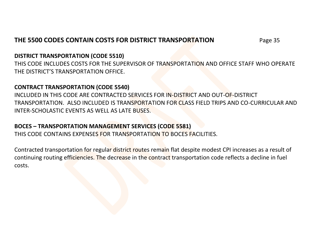## **THE 5500 CODES CONTAIN COSTS FOR DISTRICT TRANSPORTATION** Page 35

#### **DISTRICT TRANSPORTATION (CODE 5510)**

THIS CODE INCLUDES COSTS FOR THE SUPERVISOR OF TRANSPORTATION AND OFFICE STAFF WHO OPERATE THE DISTRICT'S TRANSPORTATION OFFICE.

#### **CONTRACT TRANSPORTATION (CODE 5540)**

INCLUDED IN THIS CODE ARE CONTRACTED SERVICES FOR IN-DISTRICT AND OUT-OF-DISTRICT TRANSPORTATION. ALSO INCLUDED IS TRANSPORTATION FOR CLASS FIELD TRIPS AND CO-CURRICULAR AND INTER-SCHOLASTIC EVENTS AS WELL AS LATE BUSES.

#### **BOCES – TRANSPORTATION MANAGEMENT SERVICES (CODE 5581)**

THIS CODE CONTAINS EXPENSES FOR TRANSPORTATION TO BOCES FACILITIES.

Contracted transportation for regular district routes remain flat despite modest CPI increases as a result of continuing routing efficiencies. The decrease in the contract transportation code reflects a decline in fuel costs.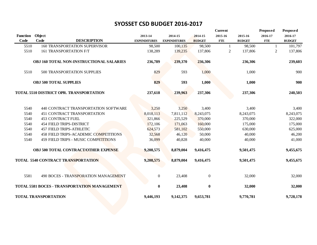|                 |        |                                                     |                     |                     | <b>Current</b>   |                |               | Proposed       | Proposed      |
|-----------------|--------|-----------------------------------------------------|---------------------|---------------------|------------------|----------------|---------------|----------------|---------------|
| <b>Function</b> | Object |                                                     | 2013-14             | 2014-15             | 2014-15          | 2015-16        | 2015-16       | 2016-17        | 2016-17       |
| Code            |        | Code<br><b>DESCRIPTION</b>                          | <b>EXPENDITURES</b> | <b>EXPENDITURES</b> | <b>BUDGET</b>    | <b>FTE</b>     | <b>BUDGET</b> | <b>FTE</b>     | <b>BUDGET</b> |
| 5510            |        | <b>160 TRANSPORTATION SUPERVISOR</b>                | 98,500              | 100,135             | 98,500           | 1              | 98,500        | $\mathbf{1}$   | 101,797       |
| 5510            |        | 161 TRANSPORTATION F/T                              | 138,289             | 139,235             | 137,806          | $\overline{2}$ | 137,806       | $\overline{2}$ | 137,806       |
|                 |        |                                                     |                     |                     |                  |                |               |                |               |
|                 |        | <b>OBJ 160 TOTAL NON-INSTRUCTIONAL SALARIES</b>     | 236,789             | 239,370             | 236,306          |                | 236,306       |                | 239,603       |
| 5510            |        | 500 TRANSPORTATION SUPPLIES                         | 829                 | 593                 | 1,000            |                | 1,000         |                | 900           |
|                 |        | <b>OBJ 500 TOTAL SUPPLIES</b>                       | 829                 | 593                 | 1,000            |                | 1,000         |                | 900           |
|                 |        | <b>TOTAL 5510 DISTRICT OPR. TRANSPORTATION</b>      | 237,618             | 239,963             | 237,306          |                | 237,306       |                | 240,503       |
|                 |        |                                                     |                     |                     |                  |                |               |                |               |
| 5540            |        | 440 CONTRACT TRANSPORTATION SOFTWARE                | 3,250               | 3,250               | 3,400            |                | 3,400         |                | 3,400         |
| 5540            |        | <b>451 CONTRACT TRANSPORTATION</b>                  | 8,018,113           | 7,811,112           | 8,243,075        |                | 8,243,075     |                | 8,243,075     |
| 5540            |        | <b>453 CONTRACT FUEL</b>                            | 321,866             | 225,529             | 370,000          |                | 370,000       |                | 322,000       |
| 5540            |        | <b>454 FIELD TRIPS-DISTRICT</b>                     | 172,106             | 171,063             | 160,000          |                | 175,000       |                | 175,000       |
| 5540            |        | <b>457 FIELD TRIPS-ATHLETIC</b>                     | 624,573             | 581,102             | 550,000          |                | 630,000       |                | 625,000       |
| 5540            |        | 458 FIELD TRIPS-ACADEMIC COMPETITIONS               | 32,568              | 46,120              | 50,000           |                | 40,000        |                | 46,200        |
| 5540            |        | 459 FIELD TRIPS - MUSIC COMPETITIONS                | 36,099              | 40,828              | 40,000           |                | 40,000        |                | 41,000        |
|                 |        | <b>OBJ 500 TOTAL CONTRACT/OTHER EXPENSE</b>         | 9,208,575           | 8,879,004           | 9,416,475        |                | 9,501,475     |                | 9,455,675     |
|                 |        | <b>TOTAL 5540 CONTRACT TRANSPORTATION</b>           | 9,208,575           | 8,879,004           | 9,416,475        |                | 9,501,475     |                | 9,455,675     |
|                 |        |                                                     |                     |                     |                  |                |               |                |               |
| 5581            |        | <b>490 BOCES - TRANSPORATION MANAGEMENT</b>         | $\overline{0}$      | 23,408              | $\mathbf{0}$     |                | 32,000        |                | 32,000        |
|                 |        | <b>TOTAL 5581 BOCES - TRANSPORTATION MANAGEMENT</b> | $\bf{0}$            | 23,408              | $\boldsymbol{0}$ |                | 32,000        |                | 32,000        |
|                 |        | <b>TOTAL TRANSPORTATION</b>                         | 9,446,193           | 9,142,375           | 9,653,781        |                | 9,770,781     |                | 9,728,178     |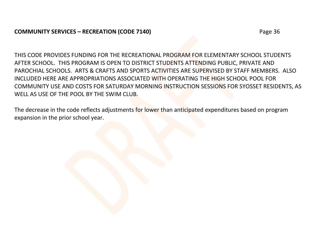THIS CODE PROVIDES FUNDING FOR THE RECREATIONAL PROGRAM FOR ELEMENTARY SCHOOL STUDENTS AFTER SCHOOL. THIS PROGRAM IS OPEN TO DISTRICT STUDENTS ATTENDING PUBLIC, PRIVATE AND PAROCHIAL SCHOOLS. ARTS & CRAFTS AND SPORTS ACTIVITIES ARE SUPERVISED BY STAFF MEMBERS. ALSO INCLUDED HERE ARE APPROPRIATIONS ASSOCIATED WITH OPERATING THE HIGH SCHOOL POOL FOR COMMUNITY USE AND COSTS FOR SATURDAY MORNING INSTRUCTION SESSIONS FOR SYOSSET RESIDENTS, AS WELL AS USE OF THE POOL BY THE SWIM CLUB.

The decrease in the code reflects adjustments for lower than anticipated expenditures based on program expansion in the prior school year.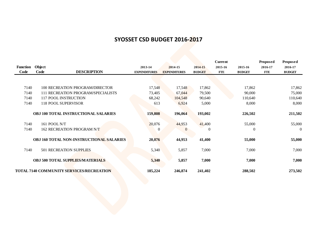|                 |              |                                                 |                     |                     |               | <b>Current</b> |               | Proposed   | Proposed      |
|-----------------|--------------|-------------------------------------------------|---------------------|---------------------|---------------|----------------|---------------|------------|---------------|
| <b>Function</b> | Object       |                                                 | 2013-14             | 2014-15             | 2014-15       | 2015-16        | 2015-16       | 2016-17    | 2016-17       |
| Code            | Code         | <b>DESCRIPTION</b>                              | <b>EXPENDITURES</b> | <b>EXPENDITURES</b> | <b>BUDGET</b> | <b>FTE</b>     | <b>BUDGET</b> | <b>FTE</b> | <b>BUDGET</b> |
|                 |              |                                                 |                     |                     |               |                |               |            |               |
|                 |              |                                                 |                     |                     |               |                |               |            |               |
| 7140            |              | <b>100 RECREATION PROGRAM/DIRECTOR</b>          | 17,548              | 17,548              | 17,862        |                | 17,862        |            | 17,862        |
| 7140            |              | 111 RECREATION PROGRAM/SPECIALISTS              | 73,405              | 67,044              | 79,500        |                | 90,000        |            | 75,000        |
| 7140            |              | <b>117 POOL INSTRUCTION</b>                     | 68,242              | 104,548             | 90,640        |                | 110,640       |            | 110,640       |
| 7140            |              | <b>118 POOL SUPERVISOR</b>                      | 613                 | 6,924               | 5,000         |                | 8,000         |            | 8,000         |
|                 |              |                                                 |                     |                     |               |                |               |            |               |
|                 |              | <b>OBJ 100 TOTAL INSTRUCTIONAL SALARIES</b>     | 159,808             | 196,064             | 193,002       |                | 226,502       |            | 211,502       |
|                 |              |                                                 |                     |                     |               |                |               |            |               |
| 7140            | 161 POOL N/T |                                                 | 20,076              | 44,953              | 41,400        |                | 55,000        |            | 55,000        |
| 7140            |              | 162 RECREATION PROGRAM N/T                      | $\boldsymbol{0}$    | $\overline{0}$      | $\theta$      |                | $\theta$      |            | $\mathbf{0}$  |
|                 |              |                                                 |                     |                     |               |                |               |            |               |
|                 |              | <b>OBJ 160 TOTAL NON-INSTRUCTIONAL SALARIES</b> | 20,076              | 44,953              | 41,400        |                | 55,000        |            | 55,000        |
|                 |              |                                                 |                     |                     |               |                |               |            |               |
| 7140            |              | <b>501 RECREATION SUPPLIES</b>                  | 5,340               | 5,857               | 7,000         |                | 7,000         |            | 7,000         |
|                 |              |                                                 |                     |                     |               |                |               |            |               |
|                 |              | <b>OBJ 500 TOTAL SUPPLIES/MATERIALS</b>         | 5,340               | 5,857               | 7,000         |                | 7,000         |            | 7,000         |
|                 |              |                                                 |                     |                     |               |                |               |            |               |
|                 |              | TOTAL 7140 COMMUNITY SERVICES/RECREATION        | 185,224             | 246,874             | 241,402       |                | 288,502       |            | 273,502       |
|                 |              |                                                 |                     |                     |               |                |               |            |               |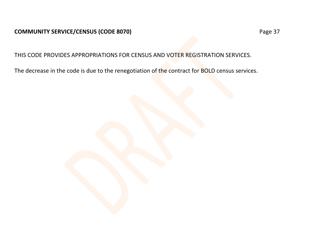### **COMMUNITY SERVICE/CENSUS (CODE 8070)** Page 37

THIS CODE PROVIDES APPROPRIATIONS FOR CENSUS AND VOTER REGISTRATION SERVICES.

The decrease in the code is due to the renegotiation of the contract for BOLD census services.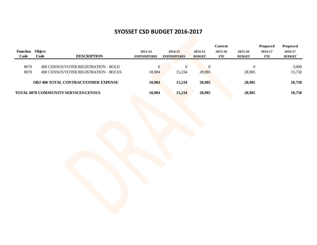|                 |               |                                             |                     |                     |               | Current    |                | <b>Proposed</b> | Proposed      |
|-----------------|---------------|---------------------------------------------|---------------------|---------------------|---------------|------------|----------------|-----------------|---------------|
| <b>Function</b> | <b>Object</b> |                                             | 2013-14             | 2014-15             | 2014-15       | 2015-16    | 2015-16        | 2016-17         | 2016-17       |
| Code            | Code          | <b>DESCRIPTION</b>                          | <b>EXPENDITURES</b> | <b>EXPENDITURES</b> | <b>BUDGET</b> | <b>FTE</b> | <b>BUDGET</b>  | <b>FTE</b>      | <b>BUDGET</b> |
|                 |               |                                             |                     |                     |               |            |                |                 |               |
| 8070            |               | 400 CENSUS/VOTER REGISTRATION - BOLD        |                     | 0                   | 0             |            | $\overline{0}$ |                 | 3,000         |
| 8070            |               | 490 CENSUS/VOTER REGISTRATION - BOCES       | 18,984              | 15,234              | 28,985        |            | 28,985         |                 | 15,750        |
|                 |               |                                             |                     |                     |               |            |                |                 |               |
|                 |               | <b>OBJ 400 TOTAL CONTRACT/OTHER EXPENSE</b> | 18,984              | 15,234              | 28,985        |            | 28,985         |                 | 18,750        |
|                 |               |                                             |                     |                     |               |            |                |                 |               |
|                 |               | <b>TOTAL 8070 COMMUNITY SERVICES/CENSUS</b> | 18.984              | 15,234              | 28,985        |            | 28,985         |                 | 18,750        |
|                 |               |                                             |                     |                     |               |            |                |                 |               |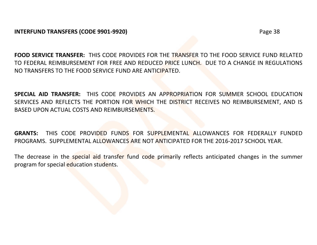**FOOD SERVICE TRANSFER:** THIS CODE PROVIDES FOR THE TRANSFER TO THE FOOD SERVICE FUND RELATED TO FEDERAL REIMBURSEMENT FOR FREE AND REDUCED PRICE LUNCH. DUE TO A CHANGE IN REGULATIONS NO TRANSFERS TO THE FOOD SERVICE FUND ARE ANTICIPATED.

**SPECIAL AID TRANSFER:** THIS CODE PROVIDES AN APPROPRIATION FOR SUMMER SCHOOL EDUCATION SERVICES AND REFLECTS THE PORTION FOR WHICH THE DISTRICT RECEIVES NO REIMBURSEMENT, AND IS BASED UPON ACTUAL COSTS AND REIMBURSEMENTS.

**GRANTS:** THIS CODE PROVIDED FUNDS FOR SUPPLEMENTAL ALLOWANCES FOR FEDERALLY FUNDED PROGRAMS. SUPPLEMENTAL ALLOWANCES ARE NOT ANTICIPATED FOR THE 2016-2017 SCHOOL YEAR.

The decrease in the special aid transfer fund code primarily reflects anticipated changes in the summer program for special education students.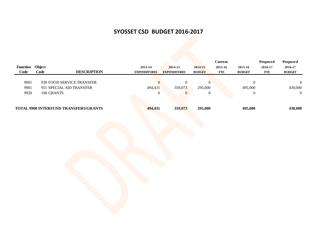|                 |               |                                              |                     |                     |                | Current |                | <b>Proposed</b> | Proposed      |
|-----------------|---------------|----------------------------------------------|---------------------|---------------------|----------------|---------|----------------|-----------------|---------------|
| <b>Function</b> | <b>Object</b> |                                              | 2013-14             | 2014-15             | 2014-15        | 2015-16 | 2015-16        | 2016-17         | 2016-17       |
| Code            | Code          | <b>DESCRIPTION</b>                           | <b>EXPENDITURES</b> | <b>EXPENDITURES</b> | <b>BUDGET</b>  | FTE     | <b>BUDGET</b>  | <b>FTE</b>      | <b>BUDGET</b> |
|                 |               |                                              |                     |                     |                |         |                |                 |               |
| 9001            |               | 930 FOOD SERVICE TRANSFER                    |                     | $\theta$            | $\Omega$       |         | $\overline{0}$ |                 | $\Omega$      |
| 9901            |               | 951 SPECIAL AID TRANSFER                     | 494,431             | 359,073             | 295,000        |         | 495,000        |                 | 430,000       |
| 9920            |               | 100 GRANTS                                   | $\theta$            | $\theta$            | $\overline{0}$ |         | $\theta$       |                 | $\Omega$      |
|                 |               |                                              |                     |                     |                |         |                |                 |               |
|                 |               |                                              |                     |                     |                |         |                |                 |               |
|                 |               | <b>TOTAL 9900 INTERFUND TRANSFERS/GRANTS</b> | 494,431             | 359,073             | 295,000        |         | 495,000        |                 | 430,000       |
|                 |               |                                              |                     |                     |                |         |                |                 |               |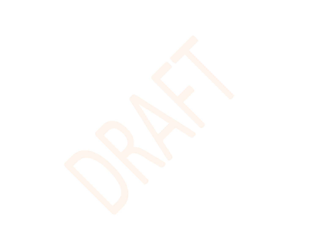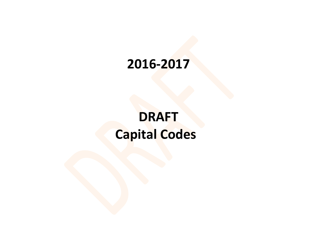## **2016-2017**

# **DRAFT Capital Codes**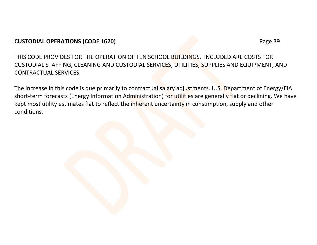#### **CUSTODIAL OPERATIONS (CODE 1620)** Page 39

THIS CODE PROVIDES FOR THE OPERATION OF TEN SCHOOL BUILDINGS. INCLUDED ARE COSTS FOR CUSTODIAL STAFFING, CLEANING AND CUSTODIAL SERVICES, UTILITIES, SUPPLIES AND EQUIPMENT, AND CONTRACTUAL SERVICES.

The increase in this code is due primarily to contractual salary adjustments. U.S. Department of Energy/EIA short-term forecasts (Energy Information Administration) for utilities are generally flat or declining. We have kept most utility estimates flat to reflect the inherent uncertainty in consumption, supply and other conditions.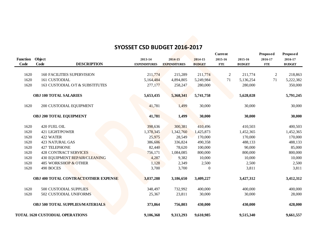|                 |                                        |                                         |                     |                     |               | <b>Current</b> |               | Proposed   | Proposed      |
|-----------------|----------------------------------------|-----------------------------------------|---------------------|---------------------|---------------|----------------|---------------|------------|---------------|
| <b>Function</b> | Object                                 |                                         | 2013-14             | 2014-15             | 2014-15       | 2015-16        | 2015-16       | 2016-17    | 2016-17       |
| Code            | Code                                   | <b>DESCRIPTION</b>                      | <b>EXPENDITURES</b> | <b>EXPENDITURES</b> | <b>BUDGET</b> | <b>FTE</b>     | <b>BUDGET</b> | <b>FTE</b> | <b>BUDGET</b> |
|                 |                                        |                                         |                     |                     |               |                |               |            |               |
| 1620            |                                        | <b>160 FACILITIES SUPERVISION</b>       | 211,774             | 215,289             | 211,774       | $\overline{c}$ | 211,774       | 2          | 218,863       |
| 1620            | 161 CUSTODIAL                          |                                         | 5,164,484           | 4,894,805           | 5,249,984     | 71             | 5,136,254     | 71         | 5,222,382     |
| 1620            |                                        | 163 CUSTODIAL O/T & SUBSTITUTES         | 277,177             | 258,247             | 280,000       |                | 280,000       |            | 350,000       |
|                 | <b>OBJ 100 TOTAL SALARIES</b>          |                                         | 5,653,435           | 5,368,341           | 5,741,758     |                | 5,628,028     |            | 5,791,245     |
| 1620            |                                        | 200 CUSTODIAL EQUIPMENT                 | 41,781              | 1,499               | 30,000        |                | 30,000        |            | 30,000        |
|                 | <b>OBJ 200 TOTAL EQUIPMENT</b>         |                                         | 41,781              | 1,499               | 30,000        |                | 30,000        |            | 30,000        |
|                 |                                        |                                         |                     |                     |               |                |               |            |               |
| 1620            | 420 FUEL OIL                           |                                         | 398,636             | 300,381             | 410,496       |                | 410,503       |            | 400,503       |
| 1620            | <b>421 LIGHT/POWER</b>                 |                                         | 1,378,345           | 1,342,760           | 1,425,873     |                | 1,452,365     |            | 1,452,365     |
| 1620            | 422 WATER                              |                                         | 25,975              | 28,549              | 170,000       |                | 170,000       |            | 170,000       |
| 1620            | <b>423 NATURAL GAS</b>                 |                                         | 386,606             | 336,824             | 490,358       |                | 488,133       |            | 488,133       |
| 1620            | <b>427 TELEPHONE</b>                   |                                         | 82,440              | 78,620              | 100,000       |                | 90,000        |            | 85,000        |
| 1620            | <b>428 CONTRACT SERVICES</b>           |                                         | 756,171             | 1,084,085           | 800,000       |                | 800,000       |            | 800,000       |
| 1620            |                                        | 430 EQUIPMENT REPAIR/CLEANING           | 4,287               | 9,382               | 10,000        |                | 10,000        |            | 10,000        |
| 1620            | 485 WORKSHOP & OTHER                   |                                         | 1,128               | 2,349               | 2,500         |                | 2,500         |            | 2,500         |
| 1620            | 490 BOCES                              |                                         | 3,700               | 3,700               | $\Omega$      |                | 3,811         |            | 3,811         |
|                 |                                        | OBJ 400 TOTAL CONTRACT/OTHER EXPENSE    | 3,037,288           | 3,186,650           | 3,409,227     |                | 3,427,312     |            | 3,412,312     |
| 1620            | <b>500 CUSTODIAL SUPPLIES</b>          |                                         | 348,497             | 732,992             | 400,000       |                | 400,000       |            | 400,000       |
| 1620            |                                        | 502 CUSTODIAL UNIFORMS                  | 25,367              | 23,811              | 30,000        |                | 30,000        |            | 28,000        |
|                 |                                        | <b>OBJ 500 TOTAL SUPPLIES/MATERIALS</b> | 373,864             | 756,803             | 430,000       |                | 430,000       |            | 428,000       |
|                 | <b>TOTAL 1620 CUSTODIAL OPERATIONS</b> |                                         | 9,106,368           | 9,313,293           | 9,610,985     |                | 9,515,340     |            | 9,661,557     |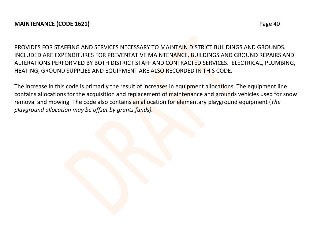PROVIDES FOR STAFFING AND SERVICES NECESSARY TO MAINTAIN DISTRICT BUILDINGS AND GROUNDS. INCLUDED ARE EXPENDITURES FOR PREVENTATIVE MAINTENANCE, BUILDINGS AND GROUND REPAIRS AND ALTERATIONS PERFORMED BY BOTH DISTRICT STAFF AND CONTRACTED SERVICES. ELECTRICAL, PLUMBING, HEATING, GROUND SUPPLIES AND EQUIPMENT ARE ALSO RECORDED IN THIS CODE.

The increase in this code is primarily the result of increases in equipment allocations. The equipment line contains allocations for the acquisition and replacement of maintenance and grounds vehicles used for snow removal and mowing. The code also contains an allocation for elementary playground equipment (*The playground allocation may be offset by grants funds).*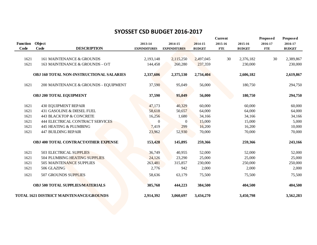|                 |        |                                                |                     |                     |               | <b>Current</b> |               | Proposed   | Proposed      |
|-----------------|--------|------------------------------------------------|---------------------|---------------------|---------------|----------------|---------------|------------|---------------|
| <b>Function</b> | Object |                                                | 2013-14             | 2014-15             | 2014-15       | 2015-16        | 2015-16       | 2016-17    | 2016-17       |
| Code            | Code   | <b>DESCRIPTION</b>                             | <b>EXPENDITURES</b> | <b>EXPENDITURES</b> | <b>BUDGET</b> | <b>FTE</b>     | <b>BUDGET</b> | <b>FTE</b> | <b>BUDGET</b> |
|                 |        |                                                |                     |                     |               |                |               |            |               |
| 1621            |        | 161 MAINTENANCE & GROUNDS                      | 2,193,148           | 2,115,250           | 2,497,045     | 30             | 2,376,182     | 30         | 2,389,867     |
| 1621            |        | 163 MAINTENANCE & GROUNDS - O/T                | 144,458             | 260,280             | 237,359       |                | 230,000       |            | 230,000       |
|                 |        | OBJ 160 TOTAL NON-INSTRUCTIONAL SALARIES       | 2,337,606           | 2,375,530           | 2,734,404     |                | 2,606,182     |            | 2,619,867     |
| 1621            |        | 200 MAINTENANCE & GROUNDS - EQUIPMENT          | 37,590              | 95,049              | 56,000        |                | 180,750       |            | 294,750       |
|                 |        | <b>OBJ 200 TOTAL EQUIPMENT</b>                 | 37,590              | 95,049              | 56,000        |                | 180,750       |            | 294,750       |
| 1621            |        | <b>430 EQUIPMENT REPAIR</b>                    | 47,173              | 40,329              | 60,000        |                | 60,000        |            | 60,000        |
| 1621            |        | 431 GASOLINE & DIESEL FUEL                     | 58,618              | 50,657              | 64,000        |                | 64,000        |            | 64,000        |
| 1621            |        | 443 BLACKTOP & CONCRETE                        | 16,256              | 1,680               | 34,166        |                | 34,166        |            | 34,166        |
| 1621            |        | <b>444 ELECTRICAL CONTRACT SERVICES</b>        | $\mathbf{0}$        | $\overline{0}$      | 15,000        |                | 15,000        |            | 5,000         |
| 1621            |        | 445 HEATING & PLUMBING                         | 7,419               | 299                 | 16,200        |                | 16,200        |            | 10,000        |
| 1621            |        | <b>447 BUILDING REPAIR</b>                     | 23,962              | 52,930              | 70,000        |                | 70,000        |            | 70,000        |
|                 |        | <b>OBJ 400 TOTAL CONTRACT/OTHER EXPENSE</b>    | 153,428             | 145,895             | 259,366       |                | 259,366       |            | 243,166       |
| 1621            |        | <b>503 ELECTRICAL SUPPLIES</b>                 | 36,749              | 40,955              | 52,000        |                | 52,000        |            | 52,000        |
| 1621            |        | <b>504 PLUMBING HEATING SUPPLIES</b>           | 24,126              | 23,290              | 25,000        |                | 25,000        |            | 25,000        |
| 1621            |        | 505 MAINTENANCE SUPPLIES                       | 263,481             | 315,857             | 230,000       |                | 250,000       |            | 250,000       |
| 1621            |        | 506 GLAZING                                    | 2,776               | 942                 | 2,000         |                | 2,000         |            | 2,000         |
| 1621            |        | <b>507 GROUNDS SUPPLIES</b>                    | 58,636              | 63,179              | 75,500        |                | 75,500        |            | 75,500        |
|                 |        | <b>OBJ 500 TOTAL SUPPLIES/MATERIALS</b>        | 385,768             | 444,223             | 384,500       |                | 404,500       |            | 404,500       |
|                 |        | <b>TOTAL 1621 DISTRICT MAINTENANCE/GROUNDS</b> | 2,914,392           | 3,060,697           | 3,434,270     |                | 3,450,798     |            | 3,562,283     |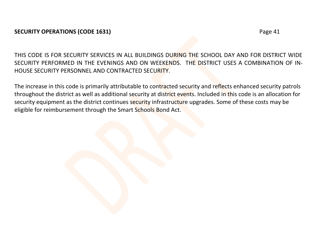#### **SECURITY OPERATIONS (CODE 1631) Page 41**

THIS CODE IS FOR SECURITY SERVICES IN ALL BUILDINGS DURING THE SCHOOL DAY AND FOR DISTRICT WIDE SECURITY PERFORMED IN THE EVENINGS AND ON WEEKENDS. THE DISTRICT USES A COMBINATION OF IN-HOUSE SECURITY PERSONNEL AND CONTRACTED SECURITY.

The increase in this code is primarily attributable to contracted security and reflects enhanced security patrols throughout the district as well as additional security at district events. Included in this code is an allocation for security equipment as the district continues security infrastructure upgrades. Some of these costs may be eligible for reimbursement through the Smart Schools Bond Act.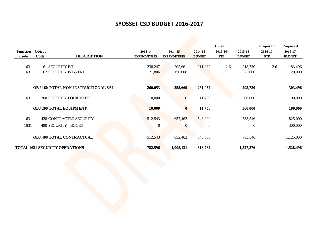|                 |        |                                            |                     |                     |               | <b>Current</b> |               | Proposed | Proposed      |
|-----------------|--------|--------------------------------------------|---------------------|---------------------|---------------|----------------|---------------|----------|---------------|
| <b>Function</b> | Object |                                            | 2013-14             | 2014-15             | 2014-15       | 2015-16        | 2015-16       | 2016-17  | 2016-17       |
| Code            | Code   | <b>DESCRIPTION</b>                         | <b>EXPENDITURES</b> | <b>EXPENDITURES</b> | <b>BUDGET</b> | <b>FTE</b>     | <b>BUDGET</b> | FTE      | <b>BUDGET</b> |
|                 |        |                                            |                     |                     |               |                |               |          |               |
| 1631            |        | 161 SECURITY F/T                           | 238,247             | 205,661             | 211,032       | 2.6            | 218,730       | 2.6      | 183,496       |
| 1631            |        | 162 SECURITY P/T & O/T                     | 21,806              | 150,008             | 50,000        |                | 75,000        |          | 120,000       |
|                 |        |                                            |                     |                     |               |                |               |          |               |
|                 |        |                                            |                     |                     |               |                |               |          |               |
|                 |        | <b>OBJ 160 TOTAL NON-INSTRUCTIONAL SAL</b> | 260,053             | 355,669             | 261,032       |                | 293,730       |          | 303,496       |
|                 |        |                                            |                     |                     |               |                |               |          |               |
| 1631            |        | 200 SECURITY EQUIPMENT                     | 10,000              | $\overline{0}$      | 11,750        |                | 500,000       |          | 100,000       |
|                 |        |                                            |                     |                     |               |                |               |          |               |
|                 |        | <b>OBJ 200 TOTAL EQUIPMENT</b>             | 10,000              | $\mathbf{0}$        | 11,750        |                | 500,000       |          | 100,000       |
| 1631            |        | <b>428 CONTRACTED SECURITY</b>             | 512,543             | 652,462             | 546,000       |                | 733,546       |          | 825,000       |
| 1631            |        | <b>490 SECURITY - BOCES</b>                | $\Omega$            |                     |               |                |               |          |               |
|                 |        |                                            |                     | $\overline{0}$      | $\mathbf{0}$  |                | $\theta$      |          | 300,000       |
|                 |        |                                            |                     |                     |               |                |               |          |               |
|                 |        | <b>OBJ 400 TOTAL CONTRACTUAL</b>           | 512,543             | 652,462             | 546,000       |                | 733,546       |          | 1,125,000     |
|                 |        | <b>TOTAL 1631 SECURITY OPERATIONS</b>      | 782,596             | 1,008,131           | 818,782       |                | 1,527,276     |          | 1,528,496     |
|                 |        |                                            |                     |                     |               |                |               |          |               |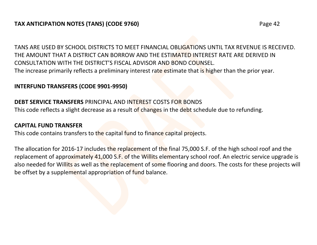TANS ARE USED BY SCHOOL DISTRICTS TO MEET FINANCIAL OBLIGATIONS UNTIL TAX REVENUE IS RECEIVED. THE AMOUNT THAT A DISTRICT CAN BORROW AND THE ESTIMATED INTEREST RATE ARE DERIVED IN CONSULTATION WITH THE DISTRICT'S FISCAL ADVISOR AND BOND COUNSEL. The increase primarily reflects a preliminary interest rate estimate that is higher than the prior year.

### **INTERFUND TRANSFERS (CODE 9901-9950)**

### **DEBT SERVICE TRANSFERS** PRINCIPAL AND INTEREST COSTS FOR BONDS This code reflects a slight decrease as a result of changes in the debt schedule due to refunding.

### **CAPITAL FUND TRANSFER**

This code contains transfers to the capital fund to finance capital projects.

The allocation for 2016-17 includes the replacement of the final 75,000 S.F. of the high school roof and the replacement of approximately 41,000 S.F. of the Willits elementary school roof. An electric service upgrade is also needed for Willits as well as the replacement of some flooring and doors. The costs for these projects will be offset by a supplemental appropriation of fund balance.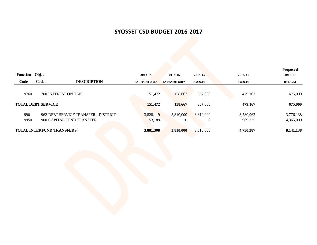|                 |                           |                                      |                     |                     |               |               | Proposed      |
|-----------------|---------------------------|--------------------------------------|---------------------|---------------------|---------------|---------------|---------------|
| <b>Function</b> | <b>Object</b>             |                                      | 2013-14             | 2014-15             | 2014-15       | 2015-16       | 2016-17       |
| Code            | Code                      | <b>DESCRIPTION</b>                   | <b>EXPENDITURES</b> | <b>EXPENDITURES</b> | <b>BUDGET</b> | <b>BUDGET</b> | <b>BUDGET</b> |
|                 |                           |                                      |                     |                     |               |               |               |
| 9760            |                           | 700 INTEREST ON TAN                  | 151,472             | 158,667             | 367,000       | 479,167       | 675,000       |
|                 |                           |                                      |                     |                     |               |               |               |
|                 | <b>TOTAL DEBT SERVICE</b> |                                      | 151,472             | 158,667             | 367,000       | 479,167       | 675,000       |
| 9901            |                           | 962 DEBT SERVICE TRANSFER - DISTRICT | 3,828,119           | 3,810,000           | 3,810,000     | 3,780,962     | 3,776,138     |
| 9950            |                           | 900 CAPITAL FUND TRANSFER            | 53,189              | $\overline{0}$      | $\theta$      | 969,325       | 4,365,000     |
|                 |                           |                                      |                     |                     |               |               |               |
|                 |                           | <b>TOTAL INTERFUND TRANSFERS</b>     | 3,881,308           | 3.810.000           | 3,810,000     | 4,750,287     | 8,141,138     |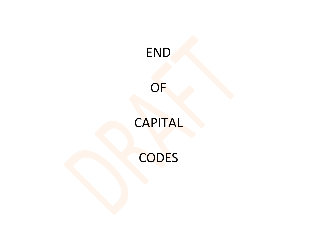END

OF

## **CAPITAL**

**CODES**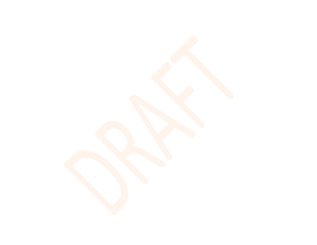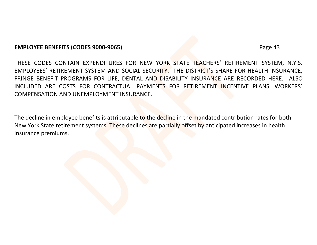#### **EMPLOYEE BENEFITS (CODES 9000-9065)** Page 43

THESE CODES CONTAIN EXPENDITURES FOR NEW YORK STATE TEACHERS' RETIREMENT SYSTEM, N.Y.S. EMPLOYEES' RETIREMENT SYSTEM AND SOCIAL SECURITY. THE DISTRICT'S SHARE FOR HEALTH INSURANCE, FRINGE BENEFIT PROGRAMS FOR LIFE, DENTAL AND DISABILITY INSURANCE ARE RECORDED HERE. ALSO INCLUDED ARE COSTS FOR CONTRACTUAL PAYMENTS FOR RETIREMENT INCENTIVE PLANS, WORKERS' COMPENSATION AND UNEMPLOYMENT INSURANCE.

The decline in employee benefits is attributable to the decline in the mandated contribution rates for both New York State retirement systems. These declines are partially offset by anticipated increases in health insurance premiums.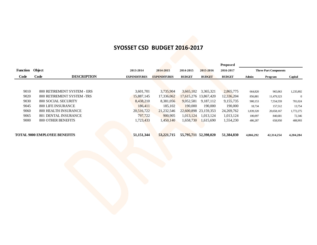|                 |        |                              |                     |                     |               |                       | Proposed      |           |                              |                |
|-----------------|--------|------------------------------|---------------------|---------------------|---------------|-----------------------|---------------|-----------|------------------------------|----------------|
| <b>Function</b> | Object |                              | 2013-2014           | 2014-2015           | 2014-2015     | 2015-2016             | 2016-2017     |           | <b>Three Part Components</b> |                |
| Code            | Code   | <b>DESCRIPTION</b>           | <b>EXPENDITURES</b> | <b>EXPENDITURES</b> | <b>BUDGET</b> | <b>BUDGET</b>         | <b>BUDGET</b> | Admin     | Program                      | Capital        |
|                 |        |                              |                     |                     |               |                       |               |           |                              |                |
|                 |        |                              |                     |                     |               |                       |               |           |                              |                |
| 9010            |        | 800 RETIREMENT SYSTEM - ERS  | 3,601,701           | 3,735,904           | 3,665,102     | 3,365,321             | 2,865,775     | 664,820   | 965,063                      | 1,235,892      |
| 9020            |        | 800 RETIREMENT SYSTEM -TRS   | 15,887,145          | 17,336,062          |               | 17,615,276 13,867,420 | 12,336,204    | 856,881   | 11,479,323                   | $\overline{0}$ |
| 9030            |        | <b>800 SOCIAL SECURITY</b>   | 8,438,210           | 8,381,056           | 9,052,581     | 9,187,112             | 9,155,735     | 900,153   | 7,554,559                    | 701,024        |
| 9045            |        | 800 LIFE INSURANCE           | 186,411             | 185,102             | 190,000       | 190,000               | 190,000       | 18,734    | 157,512                      | 13,754         |
| 9060            |        | <b>800 HEALTH INSURANCE</b>  | 20.516.722          | 21,232,546          |               | 22,600,898 23,159,353 | 24, 269, 762  | 1,839,320 | 20,658,167                   | 1,772,275      |
| 9065            |        | 801 DENTAL INSURANCE         | 797,722             | 900,905             | 1,013,124     | 1,013,124             | 1,013,124     | 100,097   | 840,681                      | 72,346         |
| 9000            |        | <b>800 OTHER BENEFITS</b>    | 1,723,433           | 1,450,140           | 1,658,730     | 1,615,690             | 1,554,230     | 486,287   | 658,950                      | 408,993        |
|                 |        |                              |                     |                     |               |                       |               |           |                              |                |
|                 |        |                              |                     |                     |               |                       |               |           |                              |                |
|                 |        | TOTAL 9000 EMPLOYEE BENEFITS | 51, 151, 344        | 53,221,715          |               | 55,795,711 52,398,020 | 51,384,830    | 4,866,292 | 42,314,254                   | 4,204,284      |
|                 |        |                              |                     |                     |               |                       |               |           |                              |                |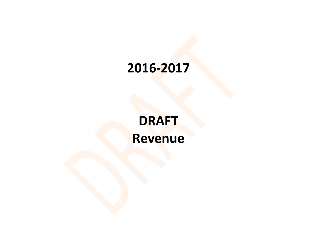## **2016-2017**

## **DRAFT Revenue**